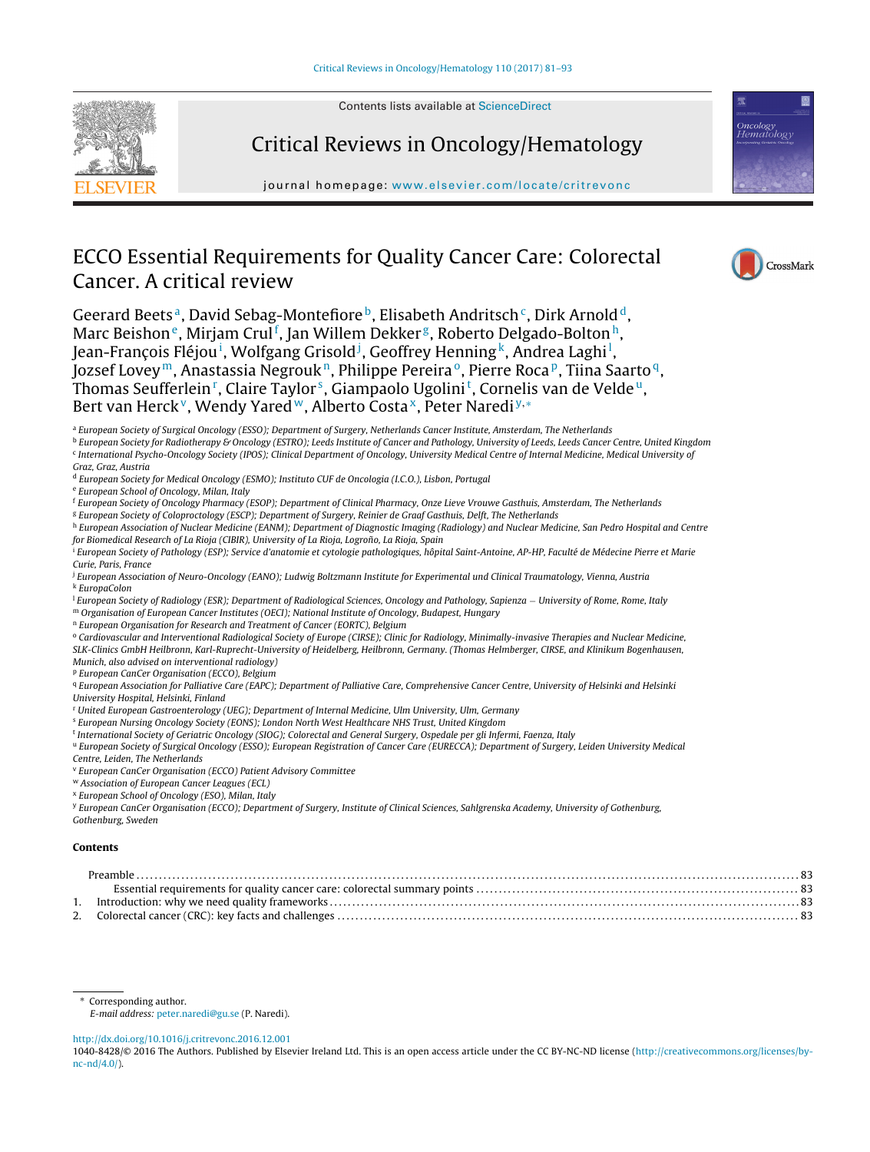Contents lists available at [ScienceDirect](http://www.sciencedirect.com/science/journal/10408428)





iournal homepage: [www.elsevier.com/locate/critrevonc](http://www.elsevier.com/locate/critrevonc)



# ECCO Essential Requirements for Quality Cancer Care: Colorectal Cancer. A critical review

Geerard Beets<sup>a</sup>, David Sebag-Montefiore<sup>b</sup>, Elisabeth Andritsch<sup>c</sup>, Dirk Arnold<sup>d</sup>, Marc Beishon<sup>e</sup>, Mirjam Crul<sup>f</sup>, Jan Willem Dekker<sup>g</sup>, Roberto Delgado-Bolton<sup>h</sup>, Jean-François Fléjou†, Wolfgang Grisold<sup>j</sup>, Geoffrey Henning<sup>k</sup>, Andrea Laghi<sup>1</sup>, Jozsef Lovey<sup>m</sup>, Anastassia Negrouk<sup>n</sup>, Philippe Pereira<sup>o</sup>, Pierre Roca<sup>p</sup>, Tiina Saarto<sup>q</sup>, Thomas Seufferlein<sup>r</sup>, Claire Taylor<sup>s</sup>, Giampaolo Ugolini<sup>t</sup>, Cornelis van de Velde<sup>u</sup>, Bert van Herck<sup>v</sup>, Wendy Yared <sup>w</sup>, Alberto Costa<sup>x</sup>, Peter Naredi <sup>y,∗</sup>



<sup>a</sup> European Society of Surgical Oncology (ESSO); Department of Surgery, Netherlands Cancer Institute, Amsterdam, The Netherlands

**b European Society for Radiotherapy & Oncology (ESTRO); Leeds Institute of Cancer and Pathology, University of Leeds, Leeds Cancer Centre, United Kingdom** <sup>c</sup> International Psycho-Oncology Society (IPOS); Clinical Department of Oncology, University Medical Centre of Internal Medicine, Medical University of

Graz, Graz, Austria

<sup>d</sup> European Society for Medical Oncology (ESMO); Instituto CUF de Oncologia (I.C.O.), Lisbon, Portugal

<sup>e</sup> European School of Oncology, Milan, Italy

<sup>f</sup> European Society of Oncology Pharmacy (ESOP); Department of Clinical Pharmacy, Onze Lieve Vrouwe Gasthuis, Amsterdam, The Netherlands

<sup>g</sup> European Society of Coloproctology (ESCP); Department of Surgery, Reinier de Graaf Gasthuis, Delft, The Netherlands

h European Association of Nuclear Medicine (EANM); Department of Diagnostic Imaging (Radiology) and Nuclear Medicine, San Pedro Hospital and Centre for Biomedical Research of La Rioja (CIBIR), University of La Rioja, Logroño, La Rioja, Spain

<sup>i</sup> European Society of Pathology (ESP); Service d'anatomie et cytologie pathologiques, hôpital Saint-Antoine, AP-HP, Faculté de Médecine Pierre et Marie Curie, Paris, France

<sup>j</sup> European Association of Neuro-Oncology (EANO); Ludwig Boltzmann Institute for Experimental und Clinical Traumatology, Vienna, Austria <sup>k</sup> EuropaColon

<sup>1</sup> European Society of Radiology (ESR); Department of Radiological Sciences, Oncology and Pathology, Sapienza – University of Rome, Rome, Italy m Organisation of European Cancer Institutes (OECI); National Institute of On

<sup>n</sup> European Organisation for Research and Treatment of Cancer (EORTC), Belgium

<sup>o</sup> Cardiovascular and Interventional Radiological Society of Europe (CIRSE); Clinic for Radiology, Minimally-invasive Therapies and Nuclear Medicine,

SLK-Clinics GmbH Heilbronn, Karl-Ruprecht-University of Heidelberg, Heilbronn, Germany. (Thomas Helmberger, CIRSE, and Klinikum Bogenhausen, Munich, also advised on interventional radiology)

<sup>p</sup> European CanCer Organisation (ECCO), Belgium

<sup>q</sup> European Association for Palliative Care (EAPC); Department of Palliative Care, Comprehensive Cancer Centre, University of Helsinki and Helsinki University Hospital, Helsinki, Finland

<sup>r</sup> United European Gastroenterology (UEG); Department of Internal Medicine, Ulm University, Ulm, Germany

<sup>s</sup> European Nursing Oncology Society (EONS); London North West Healthcare NHS Trust, United Kingdom

<sup>t</sup> International Society of Geriatric Oncology (SIOG); Colorectal and General Surgery, Ospedale per gli Infermi, Faenza, Italy

<sup>u</sup> European Society of Surgical Oncology (ESSO); European Registration of Cancer Care (EURECCA); Department of Surgery, Leiden University Medical Centre, Leiden, The Netherlands

<sup>v</sup> European CanCer Organisation (ECCO) Patient Advisory Committee

<sup>w</sup> Association of European Cancer Leagues (ECL)

<sup>x</sup> European School of Oncology (ESO), Milan, Italy

<sup>y</sup> European CanCer Organisation (ECCO); Department of Surgery, Institute of Clinical Sciences, Sahlgrenska Academy, University of Gothenburg, Gothenburg, Sweden

## **Contents**

| Preamble |  |
|----------|--|
|          |  |
|          |  |
|          |  |

∗ Corresponding author.

E-mail address: [peter.naredi@gu.se](mailto:peter.naredi@gu.se) (P. Naredi).

[http://dx.doi.org/10.1016/j.critrevonc.2016.12.001](dx.doi.org/10.1016/j.critrevonc.2016.12.001)

1040-8428/© 2016 The Authors. Published by Elsevier Ireland Ltd. This is an open access article under the CC BY-NC-ND license ([http://creativecommons.org/licenses/by](http://creativecommons.org/licenses/by-nc-nd/4.0/)[nc-nd/4.0/](http://creativecommons.org/licenses/by-nc-nd/4.0/)).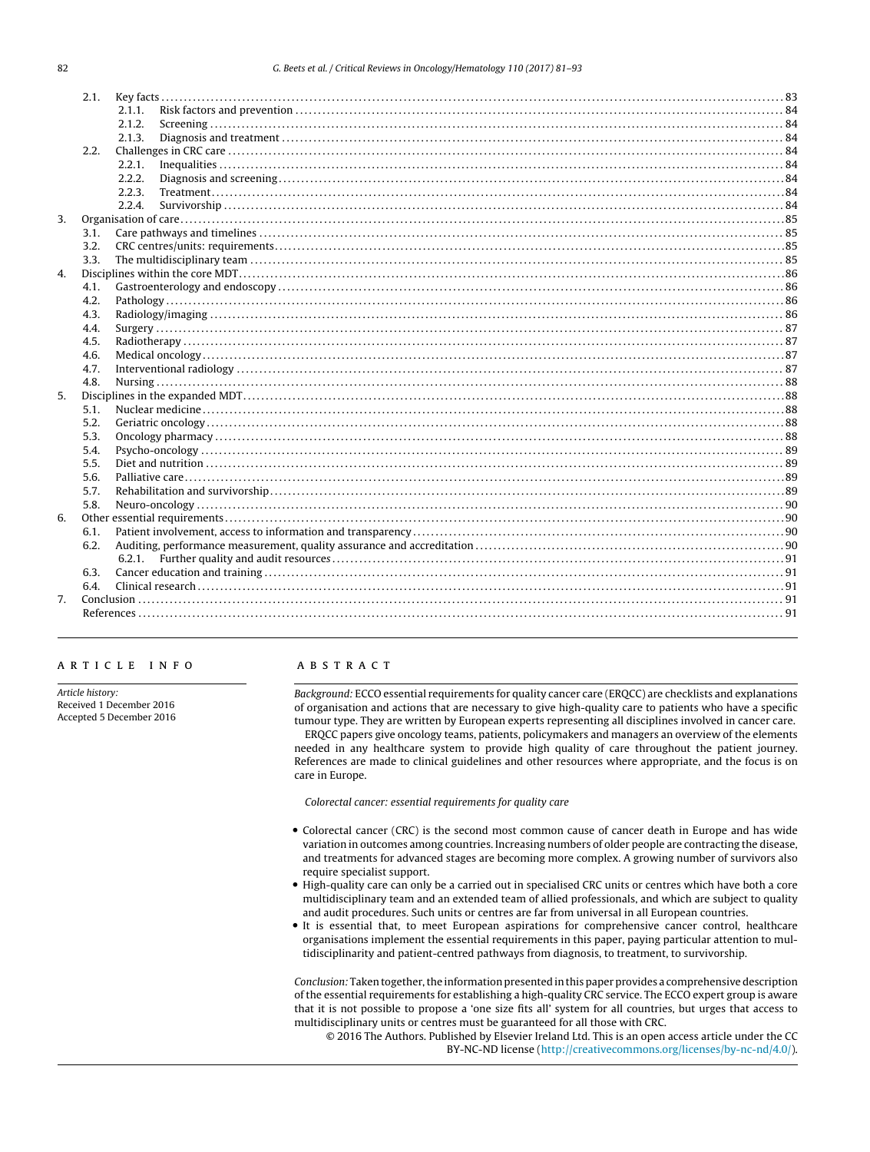|                  | 2.1. |        |  |
|------------------|------|--------|--|
|                  |      | 2.1.1. |  |
|                  |      | 2.1.2. |  |
|                  |      | 2.1.3. |  |
|                  | 2.2. |        |  |
|                  |      | 2.2.1. |  |
|                  |      | 2.2.2. |  |
|                  |      | 2.2.3. |  |
|                  |      | 2.2.4. |  |
| 3.               |      |        |  |
|                  | 3.1. |        |  |
|                  | 3.2. |        |  |
|                  | 3.3. |        |  |
| $\overline{4}$ . |      |        |  |
|                  | 4.1. |        |  |
|                  | 4.2. |        |  |
|                  | 4.3. |        |  |
|                  | 4.4. |        |  |
|                  | 4.5. |        |  |
|                  | 4.6. |        |  |
|                  | 4.7. |        |  |
|                  | 4.8. |        |  |
| 5.               |      |        |  |
|                  | 5.1. |        |  |
|                  | 5.2. |        |  |
|                  | 5.3. |        |  |
|                  | 5.4. |        |  |
|                  | 5.5. |        |  |
|                  | 5.6. |        |  |
|                  | 5.7. |        |  |
|                  | 5.8. |        |  |
| 6.               |      |        |  |
|                  | 6.1. |        |  |
|                  | 6.2. |        |  |
|                  |      | 6.2.1. |  |
|                  | 6.3. |        |  |
|                  | 6.4. |        |  |
| 7.               |      |        |  |
|                  |      |        |  |
|                  |      |        |  |

#### a r t i c l e i n f o

Article history: Received 1 December 2016 Accepted 5 December 2016

## A B S T R A C T

Background: ECCO essential requirements for quality cancer care (ERQCC) are checklists and explanations of organisation and actions that are necessary to give high-quality care to patients who have a specific tumour type. They are written by European experts representing all disciplines involved in cancer care.

ERQCC papers give oncology teams, patients, policymakers and managers an overview of the elements needed in any healthcare system to provide high quality of care throughout the patient journey. References are made to clinical guidelines and other resources where appropriate, and the focus is on care in Europe.

Colorectal cancer: essential requirements for quality care

- Colorectal cancer (CRC) is the second most common cause of cancer death in Europe and has wide variation in outcomes among countries. Increasing numbers of older people are contracting the disease, and treatments for advanced stages are becoming more complex. A growing number of survivors also require specialist support.
- High-quality care can only be a carried out in specialised CRC units or centres which have both a core multidisciplinary team and an extended team of allied professionals, and which are subject to quality and audit procedures. Such units or centres are far from universal in all European countries.
- It is essential that, to meet European aspirations for comprehensive cancer control, healthcare organisations implement the essential requirements in this paper, paying particular attention to multidisciplinarity and patient-centred pathways from diagnosis, to treatment, to survivorship.

Conclusion: Taken together, the information presented in this paper provides a comprehensive description of the essential requirements for establishing a high-quality CRC service. The ECCO expert group is aware that it is not possible to propose a 'one size fits all' system for all countries, but urges that access to multidisciplinary units or centres must be guaranteed for all those with CRC.

© 2016 The Authors. Published by Elsevier Ireland Ltd. This is an open access article under the CC BY-NC-ND license [\(http://creativecommons.org/licenses/by-nc-nd/4.0/](http://creativecommons.org/licenses/by-nc-nd/4.0/)).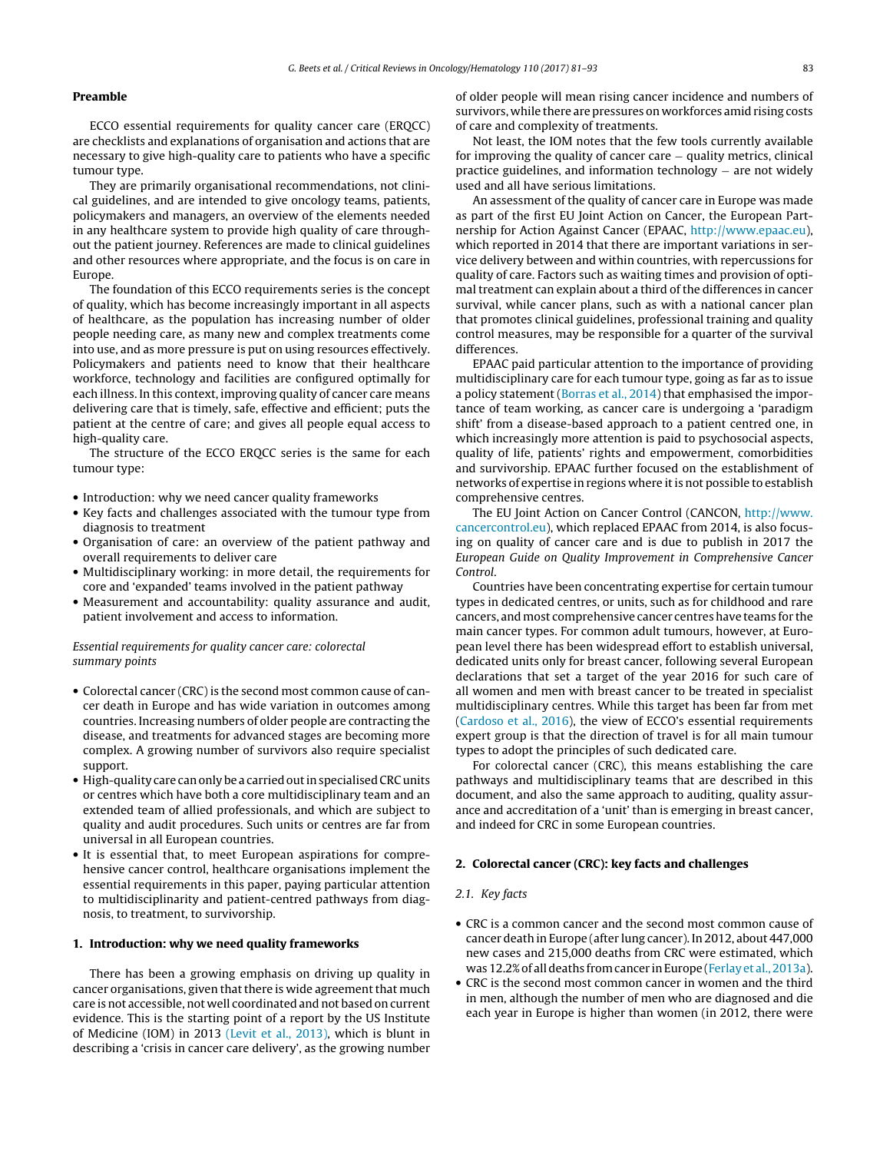#### **Preamble**

ECCO essential requirements for quality cancer care (ERQCC) are checklists and explanations of organisation and actions that are necessary to give high-quality care to patients who have a specific tumour type.

They are primarily organisational recommendations, not clinical guidelines, and are intended to give oncology teams, patients, policymakers and managers, an overview of the elements needed in any healthcare system to provide high quality of care throughout the patient journey. References are made to clinical guidelines and other resources where appropriate, and the focus is on care in Europe.

The foundation of this ECCO requirements series is the concept of quality, which has become increasingly important in all aspects of healthcare, as the population has increasing number of older people needing care, as many new and complex treatments come into use, and as more pressure is put on using resources effectively. Policymakers and patients need to know that their healthcare workforce, technology and facilities are configured optimally for each illness. In this context, improving quality of cancer care means delivering care that is timely, safe, effective and efficient; puts the patient at the centre of care; and gives all people equal access to high-quality care.

The structure of the ECCO ERQCC series is the same for each tumour type:

- Introduction: why we need cancer quality frameworks
- Key facts and challenges associated with the tumour type from diagnosis to treatment
- Organisation of care: an overview of the patient pathway and overall requirements to deliver care
- Multidisciplinary working: in more detail, the requirements for core and 'expanded' teams involved in the patient pathway
- Measurement and accountability: quality assurance and audit, patient involvement and access to information.

Essential requirements for quality cancer care: colorectal summary points

- Colorectal cancer (CRC) is the second most common cause of cancer death in Europe and has wide variation in outcomes among countries. Increasing numbers of older people are contracting the disease, and treatments for advanced stages are becoming more complex. A growing number of survivors also require specialist support.
- High-quality care can only be a carried out in specialised CRC units or centres which have both a core multidisciplinary team and an extended team of allied professionals, and which are subject to quality and audit procedures. Such units or centres are far from universal in all European countries.
- It is essential that, to meet European aspirations for comprehensive cancer control, healthcare organisations implement the essential requirements in this paper, paying particular attention to multidisciplinarity and patient-centred pathways from diagnosis, to treatment, to survivorship.

#### **1. Introduction: why we need quality frameworks**

There has been a growing emphasis on driving up quality in cancer organisations, given that there is wide agreement that much care is not accessible, not well coordinated and not based on current evidence. This is the starting point of a report by the US Institute of Medicine (IOM) in 2013 [\(Levit](#page-11-0) et [al.,](#page-11-0) [2013\),](#page-11-0) which is blunt in describing a 'crisis in cancer care delivery', as the growing number

of older people will mean rising cancer incidence and numbers of survivors, while there are pressures on workforces amid rising costs of care and complexity of treatments.

Not least, the IOM notes that the few tools currently available for improving the quality of cancer care − quality metrics, clinical practice guidelines, and information technology – are not widely used and all have serious limitations.

An assessment of the quality of cancer care in Europe was made as part of the first EU Joint Action on Cancer, the European Partnership for Action Against Cancer (EPAAC, [http://www.epaac.eu\)](http://www.epaac.eu), which reported in 2014 that there are important variations in service delivery between and within countries, with repercussions for quality of care. Factors such as waiting times and provision of optimal treatment can explain about a third of the differences in cancer survival, while cancer plans, such as with a national cancer plan that promotes clinical guidelines, professional training and quality control measures, may be responsible for a quarter of the survival differences.

EPAAC paid particular attention to the importance of providing multidisciplinary care for each tumour type, going as far as to issue a policy statement ([Borras](#page-10-0) et [al.,](#page-10-0) [2014\)](#page-10-0) that emphasised the importance of team working, as cancer care is undergoing a 'paradigm shift' from a disease-based approach to a patient centred one, in which increasingly more attention is paid to psychosocial aspects, quality of life, patients' rights and empowerment, comorbidities and survivorship. EPAAC further focused on the establishment of networks of expertise in regions where it is not possible to establish comprehensive centres.

The EU Joint Action on Cancer Control (CANCON, [http://www.](http://www.cancercontrol.eu) [cancercontrol.eu\)](http://www.cancercontrol.eu), which replaced EPAAC from 2014, is also focusing on quality of cancer care and is due to publish in 2017 the European Guide on Quality Improvement in Comprehensive Cancer Control.

Countries have been concentrating expertise for certain tumour types in dedicated centres, or units, such as for childhood and rare cancers, andmost comprehensive cancer centres have teams for the main cancer types. For common adult tumours, however, at European level there has been widespread effort to establish universal, dedicated units only for breast cancer, following several European declarations that set a target of the year 2016 for such care of all women and men with breast cancer to be treated in specialist multidisciplinary centres. While this target has been far from met [\(Cardoso](#page-11-0) et [al.,](#page-11-0) [2016\),](#page-11-0) the view of ECCO's essential requirements expert group is that the direction of travel is for all main tumour types to adopt the principles of such dedicated care.

For colorectal cancer (CRC), this means establishing the care pathways and multidisciplinary teams that are described in this document, and also the same approach to auditing, quality assurance and accreditation of a 'unit' than is emerging in breast cancer, and indeed for CRC in some European countries.

#### **2. Colorectal cancer (CRC): key facts and challenges**

#### 2.1. Key facts

- CRC is a common cancer and the second most common cause of cancer death in Europe (after lung cancer). In 2012, about 447,000 new cases and 215,000 deaths from CRC were estimated, which was 12.2% of all deaths from cancer in Europe [\(Ferlay](#page-11-0) et [al.,](#page-11-0) [2013a\).](#page-11-0)
- CRC is the second most common cancer in women and the third in men, although the number of men who are diagnosed and die each year in Europe is higher than women (in 2012, there were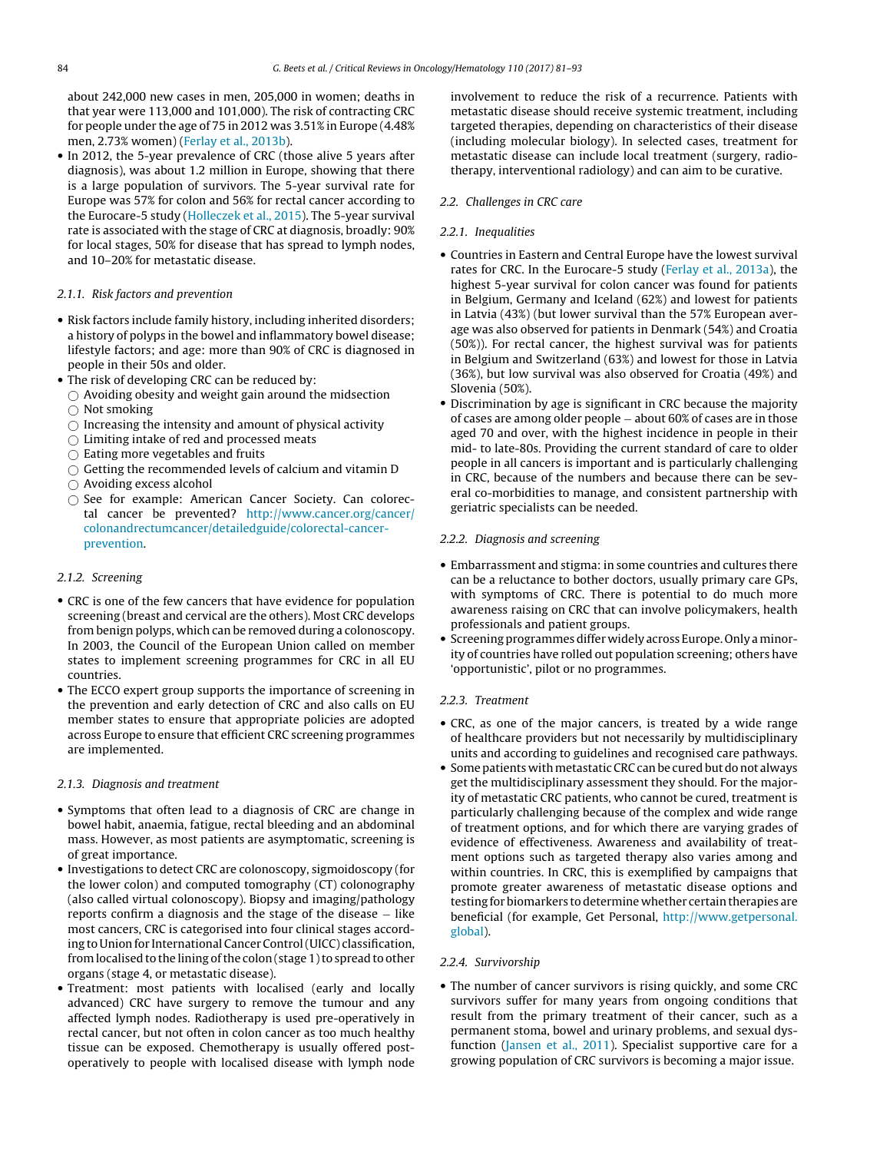about 242,000 new cases in men, 205,000 in women; deaths in that year were 113,000 and 101,000). The risk of contracting CRC for people under the age of 75 in 2012 was 3.51% in Europe (4.48% men, 2.73% women) ([Ferlay](#page-11-0) et [al.,](#page-11-0) [2013b\).](#page-11-0)

• In 2012, the 5-year prevalence of CRC (those alive 5 years after diagnosis), was about 1.2 million in Europe, showing that there is a large population of survivors. The 5-year survival rate for Europe was 57% for colon and 56% for rectal cancer according to the Eurocare-5 study ([Holleczek](#page-11-0) et [al.,](#page-11-0) [2015\).](#page-11-0) The 5-year survival rate is associated with the stage of CRC at diagnosis, broadly: 90% for local stages, 50% for disease that has spread to lymph nodes, and 10–20% for metastatic disease.

## 2.1.1. Risk factors and prevention

- Risk factors include family history, including inherited disorders; a history of polyps in the bowel and inflammatory bowel disease; lifestyle factors; and age: more than 90% of CRC is diagnosed in people in their 50s and older.
- The risk of developing CRC can be reduced by:
- $\bigcirc$  Avoiding obesity and weight gain around the midsection  $\bigcirc$  Not smoking
- $\bigcirc$  Increasing the intensity and amount of physical activity
- $\bigcirc$  Limiting intake of red and processed meats
- $\bigcirc$  Eating more vegetables and fruits
- $\bigcirc$  Getting the recommended levels of calcium and vitamin D
- ◯ Avoiding excess alcohol
- $\bigcirc$  See for example: American Cancer Society. Can colorectal cancer be prevented? [http://www.cancer.org/cancer/](http://www.cancer.org/cancer/colonandrectumcancer/detailedguide/colorectal-cancer-prevention) [colonandrectumcancer/detailedguide/colorectal-cancer](http://www.cancer.org/cancer/colonandrectumcancer/detailedguide/colorectal-cancer-prevention)[prevention](http://www.cancer.org/cancer/colonandrectumcancer/detailedguide/colorectal-cancer-prevention).

## 2.1.2. Screening

- CRC is one of the few cancers that have evidence for population screening (breast and cervical are the others). Most CRC develops from benign polyps, which can be removed during a colonoscopy. In 2003, the Council of the European Union called on member states to implement screening programmes for CRC in all EU countries.
- The ECCO expert group supports the importance of screening in the prevention and early detection of CRC and also calls on EU member states to ensure that appropriate policies are adopted across Europe to ensure that efficient CRC screening programmes are implemented.

## 2.1.3. Diagnosis and treatment

- Symptoms that often lead to a diagnosis of CRC are change in bowel habit, anaemia, fatigue, rectal bleeding and an abdominal mass. However, as most patients are asymptomatic, screening is of great importance.
- Investigations to detect CRC are colonoscopy, sigmoidoscopy (for the lower colon) and computed tomography (CT) colonography (also called virtual colonoscopy). Biopsy and imaging/pathology reports confirm a diagnosis and the stage of the disease – like most cancers, CRC is categorised into four clinical stages according to Union for International Cancer Control(UICC) classification, from localised to the lining of the colon (stage 1) to spread to other organs (stage 4, or metastatic disease).
- Treatment: most patients with localised (early and locally advanced) CRC have surgery to remove the tumour and any affected lymph nodes. Radiotherapy is used pre-operatively in rectal cancer, but not often in colon cancer as too much healthy tissue can be exposed. Chemotherapy is usually offered postoperatively to people with localised disease with lymph node

involvement to reduce the risk of a recurrence. Patients with metastatic disease should receive systemic treatment, including targeted therapies, depending on characteristics of their disease (including molecular biology). In selected cases, treatment for metastatic disease can include local treatment (surgery, radiotherapy, interventional radiology) and can aim to be curative.

## 2.2. Challenges in CRC care

## 2.2.1. Inequalities

- Countries in Eastern and Central Europe have the lowest survival rates for CRC. In the Eurocare-5 study [\(Ferlay](#page-11-0) et [al.,](#page-11-0) [2013a\),](#page-11-0) the highest 5-year survival for colon cancer was found for patients in Belgium, Germany and Iceland (62%) and lowest for patients in Latvia (43%) (but lower survival than the 57% European average was also observed for patients in Denmark (54%) and Croatia (50%)). For rectal cancer, the highest survival was for patients in Belgium and Switzerland (63%) and lowest for those in Latvia (36%), but low survival was also observed for Croatia (49%) and Slovenia (50%).
- Discrimination by age is significant in CRC because the majority of cases are among older people − about 60% of cases are in those aged 70 and over, with the highest incidence in people in their mid- to late-80s. Providing the current standard of care to older people in all cancers is important and is particularly challenging in CRC, because of the numbers and because there can be several co-morbidities to manage, and consistent partnership with geriatric specialists can be needed.

## 2.2.2. Diagnosis and screening

- Embarrassment and stigma: in some countries and cultures there can be a reluctance to bother doctors, usually primary care GPs, with symptoms of CRC. There is potential to do much more awareness raising on CRC that can involve policymakers, health professionals and patient groups.
- Screening programmes differ widely across Europe. Only a minority of countries have rolled out population screening; others have 'opportunistic', pilot or no programmes.

#### 2.2.3. Treatment

- CRC, as one of the major cancers, is treated by a wide range of healthcare providers but not necessarily by multidisciplinary units and according to guidelines and recognised care pathways.
- Some patients with metastatic CRC can be cured but do not always get the multidisciplinary assessment they should. For the majority of metastatic CRC patients, who cannot be cured, treatment is particularly challenging because of the complex and wide range of treatment options, and for which there are varying grades of evidence of effectiveness. Awareness and availability of treatment options such as targeted therapy also varies among and within countries. In CRC, this is exemplified by campaigns that promote greater awareness of metastatic disease options and testing for biomarkers to determine whether certain therapies are beneficial (for example, Get Personal, [http://www.getpersonal.](http://www.getpersonal.global) [global\)](http://www.getpersonal.global).

## 2.2.4. Survivorship

• The number of cancer survivors is rising quickly, and some CRC survivors suffer for many years from ongoing conditions that result from the primary treatment of their cancer, such as a permanent stoma, bowel and urinary problems, and sexual dys-function [\(Jansen](#page-11-0) et [al.,](#page-11-0) [2011\).](#page-11-0) Specialist supportive care for a growing population of CRC survivors is becoming a major issue.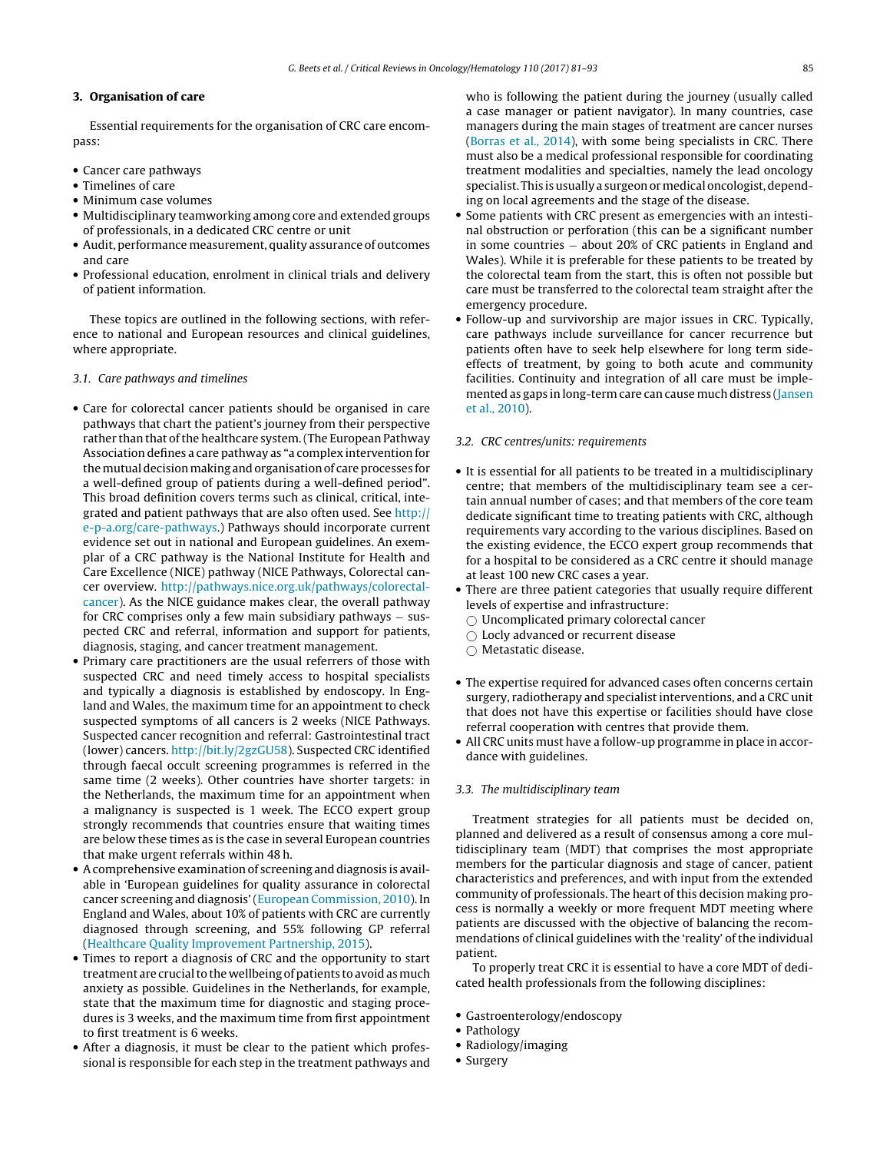# **3. Organisation of care**

Essential requirements for the organisation of CRC care encompass:

- Cancer care pathways
- Timelines of care
- Minimum case volumes
- Multidisciplinary teamworking among core and extended groups of professionals, in a dedicated CRC centre or unit
- Audit, performance measurement, quality assurance of outcomes and care
- Professional education, enrolment in clinical trials and delivery of patient information.

These topics are outlined in the following sections, with reference to national and European resources and clinical guidelines, where appropriate.

#### 3.1. Care pathways and timelines

- Care for colorectal cancer patients should be organised in care pathways that chart the patient's journey from their perspective rather than that of the healthcare system. (The European Pathway Association defines a care pathway as "a complex intervention for the mutual decision making and organisation of care processes for a well-defined group of patients during a well-defined period". This broad definition covers terms such as clinical, critical, integrated and patient pathways that are also often used. See [http://](http://e-p-a.org/care-pathways) [e-p-a.org/care-pathways](http://e-p-a.org/care-pathways).) Pathways should incorporate current evidence set out in national and European guidelines. An exemplar of a CRC pathway is the National Institute for Health and Care Excellence (NICE) pathway (NICE Pathways, Colorectal cancer overview. [http://pathways.nice.org.uk/pathways/colorectal](http://pathways.nice.org.uk/pathways/colorectal-cancer)[cancer](http://pathways.nice.org.uk/pathways/colorectal-cancer)). As the NICE guidance makes clear, the overall pathway for CRC comprises only a few main subsidiary pathways – suspected CRC and referral, information and support for patients, diagnosis, staging, and cancer treatment management.
- Primary care practitioners are the usual referrers of those with suspected CRC and need timely access to hospital specialists and typically a diagnosis is established by endoscopy. In England and Wales, the maximum time for an appointment to check suspected symptoms of all cancers is 2 weeks (NICE Pathways. Suspected cancer recognition and referral: Gastrointestinal tract (lower) cancers. [http://bit.ly/2gzGU58\)](http://bit.ly/2gzGU58). Suspected CRC identified through faecal occult screening programmes is referred in the same time (2 weeks). Other countries have shorter targets: in the Netherlands, the maximum time for an appointment when a malignancy is suspected is 1 week. The ECCO expert group strongly recommends that countries ensure that waiting times are below these times as is the case in several European countries that make urgent referrals within 48 h.
- Acomprehensive examination of screening and diagnosis is available in 'European guidelines for quality assurance in colorectal cancer screening and diagnosis'([European](#page-11-0) [Commission,](#page-11-0) [2010\).](#page-11-0) In England and Wales, about 10% of patients with CRC are currently diagnosed through screening, and 55% following GP referral [\(Healthcare](#page-11-0) [Quality](#page-11-0) [Improvement](#page-11-0) [Partnership,](#page-11-0) [2015\).](#page-11-0)
- Times to report a diagnosis of CRC and the opportunity to start treatment are crucial to the wellbeing of patients to avoid as much anxiety as possible. Guidelines in the Netherlands, for example, state that the maximum time for diagnostic and staging procedures is 3 weeks, and the maximum time from first appointment to first treatment is 6 weeks.
- After a diagnosis, it must be clear to the patient which professional is responsible for each step in the treatment pathways and

who is following the patient during the journey (usually called a case manager or patient navigator). In many countries, case managers during the main stages of treatment are cancer nurses ([Borras](#page-10-0) et [al.,](#page-10-0) [2014\),](#page-10-0) with some being specialists in CRC. There must also be a medical professional responsible for coordinating treatment modalities and specialties, namely the lead oncology specialist. This is usually a surgeon or medical oncologist, depending on local agreements and the stage of the disease.

- Some patients with CRC present as emergencies with an intestinal obstruction or perforation (this can be a significant number in some countries − about 20% of CRC patients in England and Wales). While it is preferable for these patients to be treated by the colorectal team from the start, this is often not possible but care must be transferred to the colorectal team straight after the emergency procedure.
- Follow-up and survivorship are major issues in CRC. Typically, care pathways include surveillance for cancer recurrence but patients often have to seek help elsewhere for long term sideeffects of treatment, by going to both acute and community facilities. Continuity and integration of all care must be implemented as gaps in long-term care can cause much distress ([Jansen](#page-11-0) et [al.,](#page-11-0) [2010\).](#page-11-0)

## 3.2. CRC centres/units: requirements

- It is essential for all patients to be treated in a multidisciplinary centre; that members of the multidisciplinary team see a certain annual number of cases; and that members of the core team dedicate significant time to treating patients with CRC, although requirements vary according to the various disciplines. Based on the existing evidence, the ECCO expert group recommends that for a hospital to be considered as a CRC centre it should manage at least 100 new CRC cases a year.
- There are three patient categories that usually require different levels of expertise and infrastructure:
	- $\bigcirc$  Uncomplicated primary colorectal cancer
	- $\bigcirc$  Locly advanced or recurrent disease
	- $\bigcirc$  Metastatic disease.
- The expertise required for advanced cases often concerns certain surgery, radiotherapy and specialist interventions, and a CRC unit that does not have this expertise or facilities should have close referral cooperation with centres that provide them.
- All CRC units must have a follow-up programme in place in accordance with guidelines.

## 3.3. The multidisciplinary team

Treatment strategies for all patients must be decided on, planned and delivered as a result of consensus among a core multidisciplinary team (MDT) that comprises the most appropriate members for the particular diagnosis and stage of cancer, patient characteristics and preferences, and with input from the extended community of professionals. The heart of this decision making process is normally a weekly or more frequent MDT meeting where patients are discussed with the objective of balancing the recommendations of clinical guidelines with the 'reality' of the individual patient.

To properly treat CRC it is essential to have a core MDT of dedicated health professionals from the following disciplines:

- Gastroenterology/endoscopy
- Pathology
- Radiology/imaging
- Surgery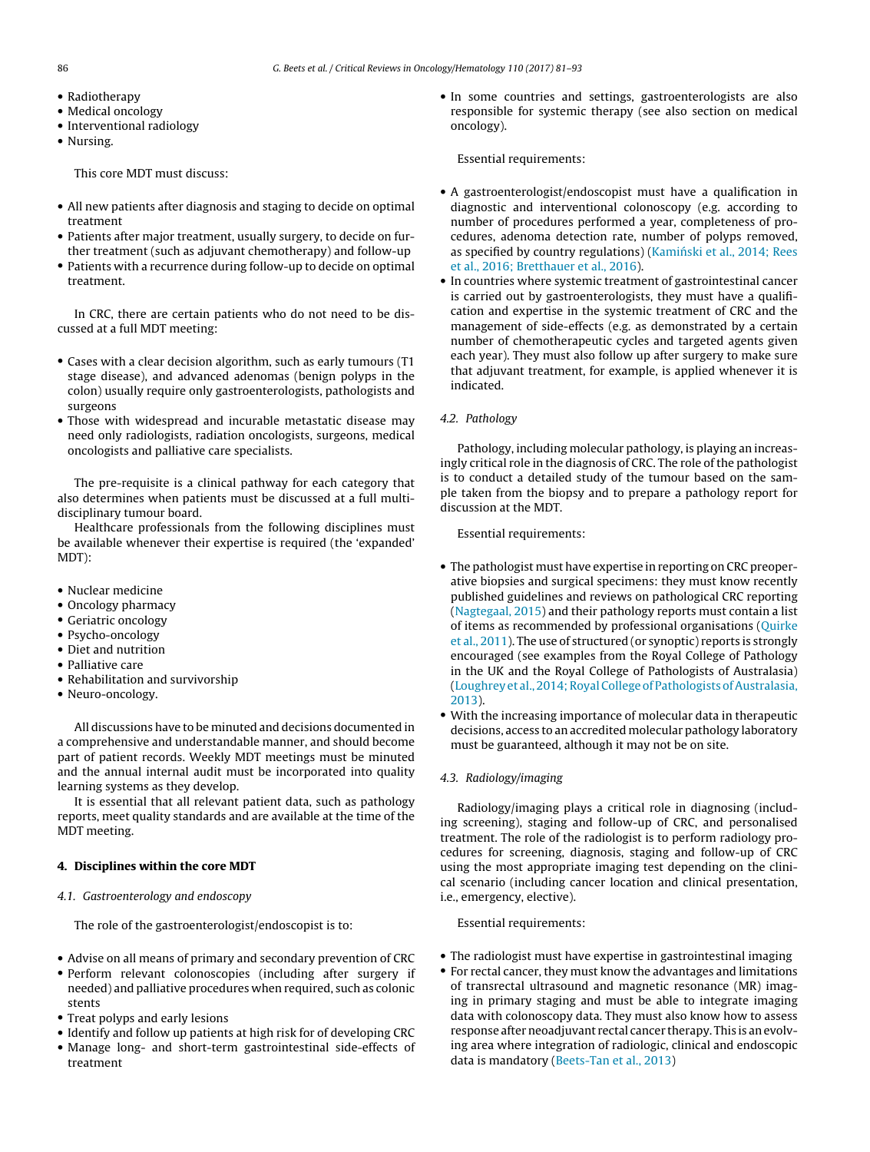- Radiotherapy
- Medical oncology
- Interventional radiology
- Nursing.

This core MDT must discuss:

- All new patients after diagnosis and staging to decide on optimal treatment
- Patients after major treatment, usually surgery, to decide on further treatment (such as adjuvant chemotherapy) and follow-up
- Patients with a recurrence during follow-up to decide on optimal treatment.

In CRC, there are certain patients who do not need to be discussed at a full MDT meeting:

- Cases with a clear decision algorithm, such as early tumours (T1 stage disease), and advanced adenomas (benign polyps in the colon) usually require only gastroenterologists, pathologists and surgeons
- Those with widespread and incurable metastatic disease may need only radiologists, radiation oncologists, surgeons, medical oncologists and palliative care specialists.

The pre-requisite is a clinical pathway for each category that also determines when patients must be discussed at a full multidisciplinary tumour board.

Healthcare professionals from the following disciplines must be available whenever their expertise is required (the 'expanded' MDT):

- Nuclear medicine
- Oncology pharmacy
- Geriatric oncology
- Psycho-oncology
- Diet and nutrition
- Palliative care
- Rehabilitation and survivorship
- Neuro-oncology.

All discussions have to be minuted and decisions documented in a comprehensive and understandable manner, and should become part of patient records. Weekly MDT meetings must be minuted and the annual internal audit must be incorporated into quality learning systems as they develop.

It is essential that all relevant patient data, such as pathology reports, meet quality standards and are available at the time of the MDT meeting.

# **4. Disciplines within the core MDT**

# 4.1. Gastroenterology and endoscopy

The role of the gastroenterologist/endoscopist is to:

- Advise on all means of primary and secondary prevention of CRC
- Perform relevant colonoscopies (including after surgery if needed) and palliative procedures when required, such as colonic stents
- Treat polyps and early lesions
- Identify and follow up patients at high risk for of developing CRC
- Manage long- and short-term gastrointestinal side-effects of treatment

• In some countries and settings, gastroenterologists are also responsible for systemic therapy (see also section on medical oncology).

Essential requirements:

- A gastroenterologist/endoscopist must have a qualification in diagnostic and interventional colonoscopy (e.g. according to number of procedures performed a year, completeness of procedures, adenoma detection rate, number of polyps removed, as specified by country regulations) (Kamiński et [al.,](#page-11-0) [2014;](#page-11-0) [Rees](#page-11-0) et [al.,](#page-11-0) [2016;](#page-11-0) [Bretthauer](#page-11-0) et [al.,](#page-11-0) [2016\).](#page-11-0)
- In countries where systemic treatment of gastrointestinal cancer is carried out by gastroenterologists, they must have a qualification and expertise in the systemic treatment of CRC and the management of side-effects (e.g. as demonstrated by a certain number of chemotherapeutic cycles and targeted agents given each year). They must also follow up after surgery to make sure that adjuvant treatment, for example, is applied whenever it is indicated.
- 4.2. Pathology

Pathology, including molecular pathology, is playing an increasingly critical role in the diagnosis of CRC. The role of the pathologist is to conduct a detailed study of the tumour based on the sample taken from the biopsy and to prepare a pathology report for discussion at the MDT.

Essential requirements:

- The pathologist must have expertise in reporting on CRC preoperative biopsies and surgical specimens: they must know recently published guidelines and reviews on pathological CRC reporting ([Nagtegaal,](#page-11-0) [2015\)](#page-11-0) and their pathology reports must contain a list of items as recommended by professional organisations [\(Quirke](#page-11-0) et [al.,](#page-11-0) [2011\).](#page-11-0) The use of structured (or synoptic) reports is strongly encouraged (see examples from the Royal College of Pathology in the UK and the Royal College of Pathologists of Australasia) ([Loughrey](#page-11-0) et [al.,](#page-11-0) 2014; Royal College [of](#page-11-0) [Pathologists](#page-11-0) of Australasia, [2013\).](#page-11-0)
- With the increasing importance of molecular data in therapeutic decisions, access to an accredited molecular pathology laboratory must be guaranteed, although it may not be on site.

## 4.3. Radiology/imaging

Radiology/imaging plays a critical role in diagnosing (including screening), staging and follow-up of CRC, and personalised treatment. The role of the radiologist is to perform radiology procedures for screening, diagnosis, staging and follow-up of CRC using the most appropriate imaging test depending on the clinical scenario (including cancer location and clinical presentation, i.e., emergency, elective).

Essential requirements:

- The radiologist must have expertise in gastrointestinal imaging
- For rectal cancer, they must know the advantages and limitations of transrectal ultrasound and magnetic resonance (MR) imaging in primary staging and must be able to integrate imaging data with colonoscopy data. They must also know how to assess response after neoadjuvant rectal cancer therapy. This is an evolving area where integration of radiologic, clinical and endoscopic data is mandatory ([Beets-Tan](#page-10-0) et [al.,](#page-10-0) [2013\)](#page-10-0)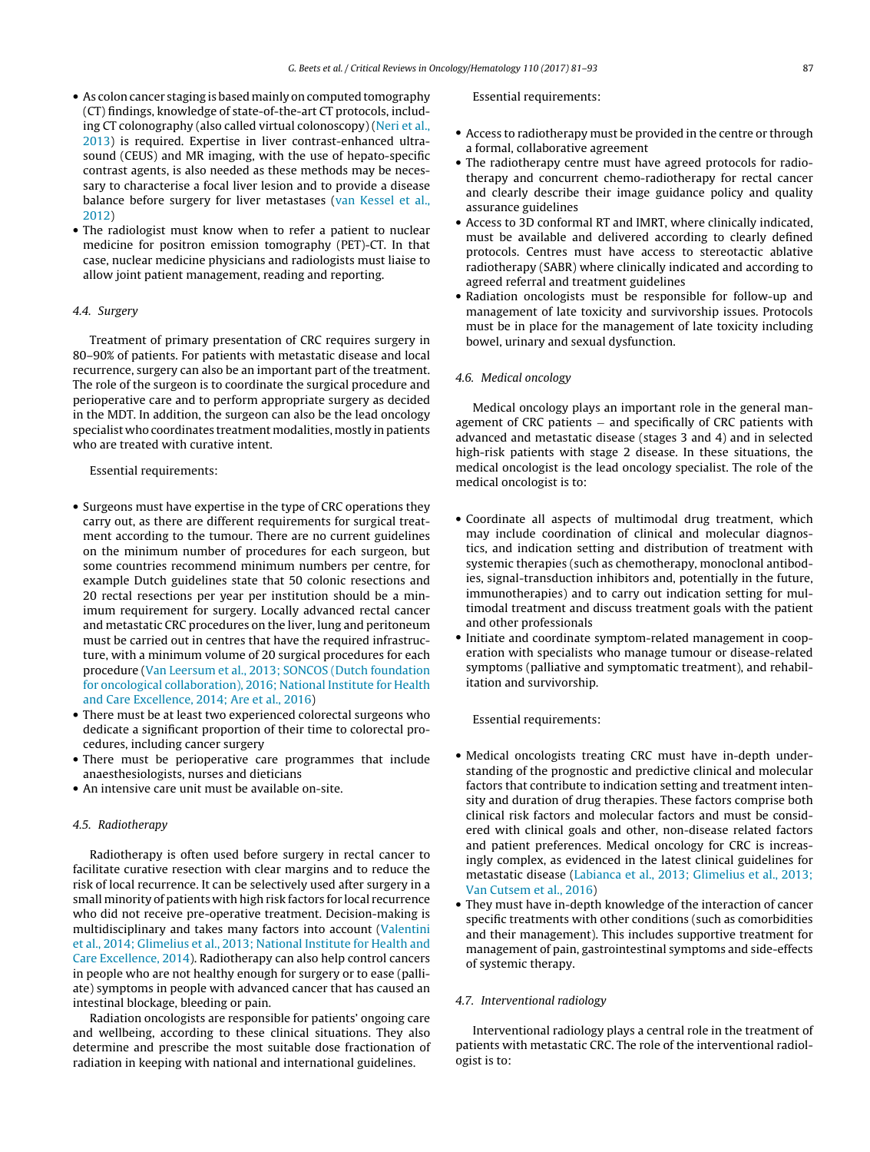- As colon cancer staging is based mainly on computed tomography (CT) findings, knowledge of state-of-the-art CT protocols, including CT colonography (also called virtual colonoscopy) [\(Neri](#page-11-0) et [al.,](#page-11-0) [2013\)](#page-11-0) is required. Expertise in liver contrast-enhanced ultrasound (CEUS) and MR imaging, with the use of hepato-specific contrast agents, is also needed as these methods may be necessary to characterise a focal liver lesion and to provide a disease balance before surgery for liver metastases ([van](#page-12-0) [Kessel](#page-12-0) et [al.,](#page-12-0) [2012\)](#page-12-0)
- The radiologist must know when to refer a patient to nuclear medicine for positron emission tomography (PET)-CT. In that case, nuclear medicine physicians and radiologists must liaise to allow joint patient management, reading and reporting.

#### 4.4. Surgery

Treatment of primary presentation of CRC requires surgery in 80–90% of patients. For patients with metastatic disease and local recurrence, surgery can also be an important part of the treatment. The role of the surgeon is to coordinate the surgical procedure and perioperative care and to perform appropriate surgery as decided in the MDT. In addition, the surgeon can also be the lead oncology specialist who coordinates treatment modalities, mostly in patients who are treated with curative intent.

Essential requirements:

- Surgeons must have expertise in the type of CRC operations they carry out, as there are different requirements for surgical treatment according to the tumour. There are no current guidelines on the minimum number of procedures for each surgeon, but some countries recommend minimum numbers per centre, for example Dutch guidelines state that 50 colonic resections and 20 rectal resections per year per institution should be a minimum requirement for surgery. Locally advanced rectal cancer and metastatic CRC procedures on the liver, lung and peritoneum must be carried out in centres that have the required infrastructure, with a minimum volume of 20 surgical procedures for each procedure ([Van](#page-12-0) [Leersum](#page-12-0) et [al.,](#page-12-0) [2013;](#page-12-0) [SONCOS](#page-12-0) [\(Dutch](#page-12-0) [foundation](#page-12-0) [for](#page-12-0) [oncological](#page-12-0) [collaboration\),](#page-12-0) [2016;](#page-12-0) [National](#page-12-0) [Institute](#page-12-0) [for](#page-12-0) [Health](#page-12-0) [and](#page-12-0) [Care](#page-12-0) [Excellence,](#page-12-0) [2014;](#page-12-0) [Are](#page-12-0) et [al.,](#page-12-0) [2016\)](#page-12-0)
- There must be at least two experienced colorectal surgeons who dedicate a significant proportion of their time to colorectal procedures, including cancer surgery
- There must be perioperative care programmes that include anaesthesiologists, nurses and dieticians
- An intensive care unit must be available on-site.

#### 4.5. Radiotherapy

Radiotherapy is often used before surgery in rectal cancer to facilitate curative resection with clear margins and to reduce the risk of local recurrence. It can be selectively used after surgery in a small minority of patients with high risk factors for local recurrence who did not receive pre-operative treatment. Decision-making is multidisciplinary and takes many factors into account ([Valentini](#page-12-0) et [al.,](#page-12-0) [2014;](#page-12-0) [Glimelius](#page-12-0) et [al.,](#page-12-0) [2013;](#page-12-0) [National](#page-12-0) [Institute](#page-12-0) [for](#page-12-0) [Health](#page-12-0) [and](#page-12-0) [Care](#page-12-0) [Excellence,](#page-12-0) [2014\).](#page-12-0) Radiotherapy can also help control cancers in people who are not healthy enough for surgery or to ease (palliate) symptoms in people with advanced cancer that has caused an intestinal blockage, bleeding or pain.

Radiation oncologists are responsible for patients' ongoing care and wellbeing, according to these clinical situations. They also determine and prescribe the most suitable dose fractionation of radiation in keeping with national and international guidelines.

Essential requirements:

- Access to radiotherapy must be provided in the centre or through a formal, collaborative agreement
- The radiotherapy centre must have agreed protocols for radiotherapy and concurrent chemo-radiotherapy for rectal cancer and clearly describe their image guidance policy and quality assurance guidelines
- Access to 3D conformal RT and IMRT, where clinically indicated, must be available and delivered according to clearly defined protocols. Centres must have access to stereotactic ablative radiotherapy (SABR) where clinically indicated and according to agreed referral and treatment guidelines
- Radiation oncologists must be responsible for follow-up and management of late toxicity and survivorship issues. Protocols must be in place for the management of late toxicity including bowel, urinary and sexual dysfunction.

#### 4.6. Medical oncology

Medical oncology plays an important role in the general management of CRC patients − and specifically of CRC patients with advanced and metastatic disease (stages 3 and 4) and in selected high-risk patients with stage 2 disease. In these situations, the medical oncologist is the lead oncology specialist. The role of the medical oncologist is to:

- Coordinate all aspects of multimodal drug treatment, which may include coordination of clinical and molecular diagnostics, and indication setting and distribution of treatment with systemic therapies (such as chemotherapy, monoclonal antibodies, signal-transduction inhibitors and, potentially in the future, immunotherapies) and to carry out indication setting for multimodal treatment and discuss treatment goals with the patient and other professionals
- Initiate and coordinate symptom-related management in cooperation with specialists who manage tumour or disease-related symptoms (palliative and symptomatic treatment), and rehabilitation and survivorship.

Essential requirements:

- Medical oncologists treating CRC must have in-depth understanding of the prognostic and predictive clinical and molecular factors that contribute to indication setting and treatment intensity and duration of drug therapies. These factors comprise both clinical risk factors and molecular factors and must be considered with clinical goals and other, non-disease related factors and patient preferences. Medical oncology for CRC is increasingly complex, as evidenced in the latest clinical guidelines for metastatic disease ([Labianca](#page-11-0) et [al.,](#page-11-0) [2013;](#page-11-0) [Glimelius](#page-11-0) et [al.,](#page-11-0) [2013;](#page-11-0) [Van](#page-11-0) [Cutsem](#page-11-0) et [al.,](#page-11-0) [2016\)](#page-11-0)
- They must have in-depth knowledge of the interaction of cancer specific treatments with other conditions (such as comorbidities and their management). This includes supportive treatment for management of pain, gastrointestinal symptoms and side-effects of systemic therapy.

#### 4.7. Interventional radiology

Interventional radiology plays a central role in the treatment of patients with metastatic CRC. The role of the interventional radiologist is to: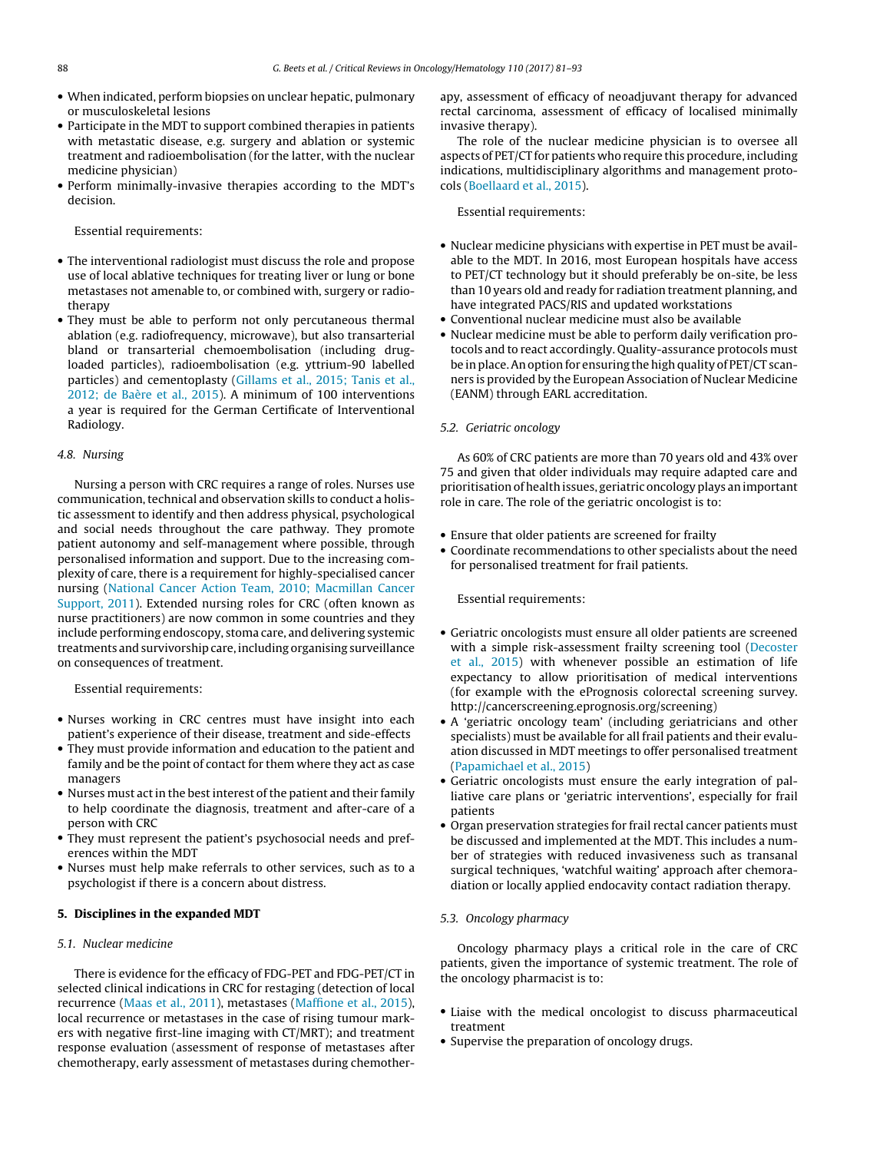- When indicated, perform biopsies on unclear hepatic, pulmonary or musculoskeletal lesions
- Participate in the MDT to support combined therapies in patients with metastatic disease, e.g. surgery and ablation or systemic treatment and radioembolisation (for the latter, with the nuclear medicine physician)
- Perform minimally-invasive therapies according to the MDT's decision.

Essential requirements:

- The interventional radiologist must discuss the role and propose use of local ablative techniques for treating liver or lung or bone metastases not amenable to, or combined with, surgery or radiotherapy
- They must be able to perform not only percutaneous thermal ablation (e.g. radiofrequency, microwave), but also transarterial bland or transarterial chemoembolisation (including drugloaded particles), radioembolisation (e.g. yttrium-90 labelled particles) and cementoplasty ([Gillams](#page-11-0) et [al.,](#page-11-0) [2015;](#page-11-0) [Tanis](#page-11-0) et [al.,](#page-11-0) [2012;](#page-11-0) [de](#page-11-0) [Baère](#page-11-0) et [al.,](#page-11-0) [2015\).](#page-11-0) A minimum of 100 interventions a year is required for the German Certificate of Interventional Radiology.

#### 4.8. Nursing

Nursing a person with CRC requires a range of roles. Nurses use communication, technical and observation skills to conduct a holistic assessment to identify and then address physical, psychological and social needs throughout the care pathway. They promote patient autonomy and self-management where possible, through personalised information and support. Due to the increasing complexity of care, there is a requirement for highly-specialised cancer nursing ([National](#page-11-0) [Cancer](#page-11-0) [Action](#page-11-0) [Team,](#page-11-0) [2010;](#page-11-0) [Macmillan](#page-11-0) [Cancer](#page-11-0) [Support,](#page-11-0) [2011\).](#page-11-0) Extended nursing roles for CRC (often known as nurse practitioners) are now common in some countries and they include performing endoscopy, stoma care, and delivering systemic treatments and survivorship care,including organising surveillance on consequences of treatment.

Essential requirements:

- Nurses working in CRC centres must have insight into each patient's experience of their disease, treatment and side-effects
- They must provide information and education to the patient and family and be the point of contact for them where they act as case managers
- Nurses must act in the best interest of the patient and their family to help coordinate the diagnosis, treatment and after-care of a person with CRC
- They must represent the patient's psychosocial needs and preferences within the MDT
- Nurses must help make referrals to other services, such as to a psychologist if there is a concern about distress.

## **5. Disciplines in the expanded MDT**

#### 5.1. Nuclear medicine

There is evidence for the efficacy of FDG-PET and FDG-PET/CT in selected clinical indications in CRC for restaging (detection of local recurrence ([Maas](#page-11-0) et [al.,](#page-11-0) [2011\),](#page-11-0) metastases [\(Maffione](#page-11-0) et [al.,](#page-11-0) [2015\),](#page-11-0) local recurrence or metastases in the case of rising tumour markers with negative first-line imaging with CT/MRT); and treatment response evaluation (assessment of response of metastases after chemotherapy, early assessment of metastases during chemotherapy, assessment of efficacy of neoadjuvant therapy for advanced rectal carcinoma, assessment of efficacy of localised minimally invasive therapy).

The role of the nuclear medicine physician is to oversee all aspects of PET/CT for patients who require this procedure, including indications, multidisciplinary algorithms and management protocols [\(Boellaard](#page-10-0) et [al.,](#page-10-0) [2015\).](#page-10-0)

Essential requirements:

- Nuclear medicine physicians with expertise in PET must be available to the MDT. In 2016, most European hospitals have access to PET/CT technology but it should preferably be on-site, be less than 10 years old and ready for radiation treatment planning, and have integrated PACS/RIS and updated workstations
- Conventional nuclear medicine must also be available
- Nuclear medicine must be able to perform daily verification protocols and to react accordingly. Quality-assurance protocols must be in place.An option for ensuring the high quality of PET/CT scanners is provided by the European Association of Nuclear Medicine (EANM) through EARL accreditation.

#### 5.2. Geriatric oncology

As 60% of CRC patients are more than 70 years old and 43% over 75 and given that older individuals may require adapted care and prioritisationof health issues, geriatric oncology plays an important role in care. The role of the geriatric oncologist is to:

- Ensure that older patients are screened for frailty
- Coordinate recommendations to other specialists about the need for personalised treatment for frail patients.

Essential requirements:

- Geriatric oncologists must ensure all older patients are screened with a simple risk-assessment frailty screening tool [\(Decoster](#page-11-0) et [al.,](#page-11-0) [2015\)](#page-11-0) with whenever possible an estimation of life expectancy to allow prioritisation of medical interventions (for example with the ePrognosis colorectal screening survey. http://cancerscreening.eprognosis.org/screening)
- A 'geriatric oncology team' (including geriatricians and other specialists) must be available for all frail patients and their evaluation discussed in MDT meetings to offer personalised treatment ([Papamichael](#page-11-0) et [al.,](#page-11-0) [2015\)](#page-11-0)
- Geriatric oncologists must ensure the early integration of palliative care plans or 'geriatric interventions', especially for frail patients
- Organ preservation strategies for frail rectal cancer patients must be discussed and implemented at the MDT. This includes a number of strategies with reduced invasiveness such as transanal surgical techniques, 'watchful waiting' approach after chemoradiation or locally applied endocavity contact radiation therapy.

#### 5.3. Oncology pharmacy

Oncology pharmacy plays a critical role in the care of CRC patients, given the importance of systemic treatment. The role of the oncology pharmacist is to:

- Liaise with the medical oncologist to discuss pharmaceutical treatment
- Supervise the preparation of oncology drugs.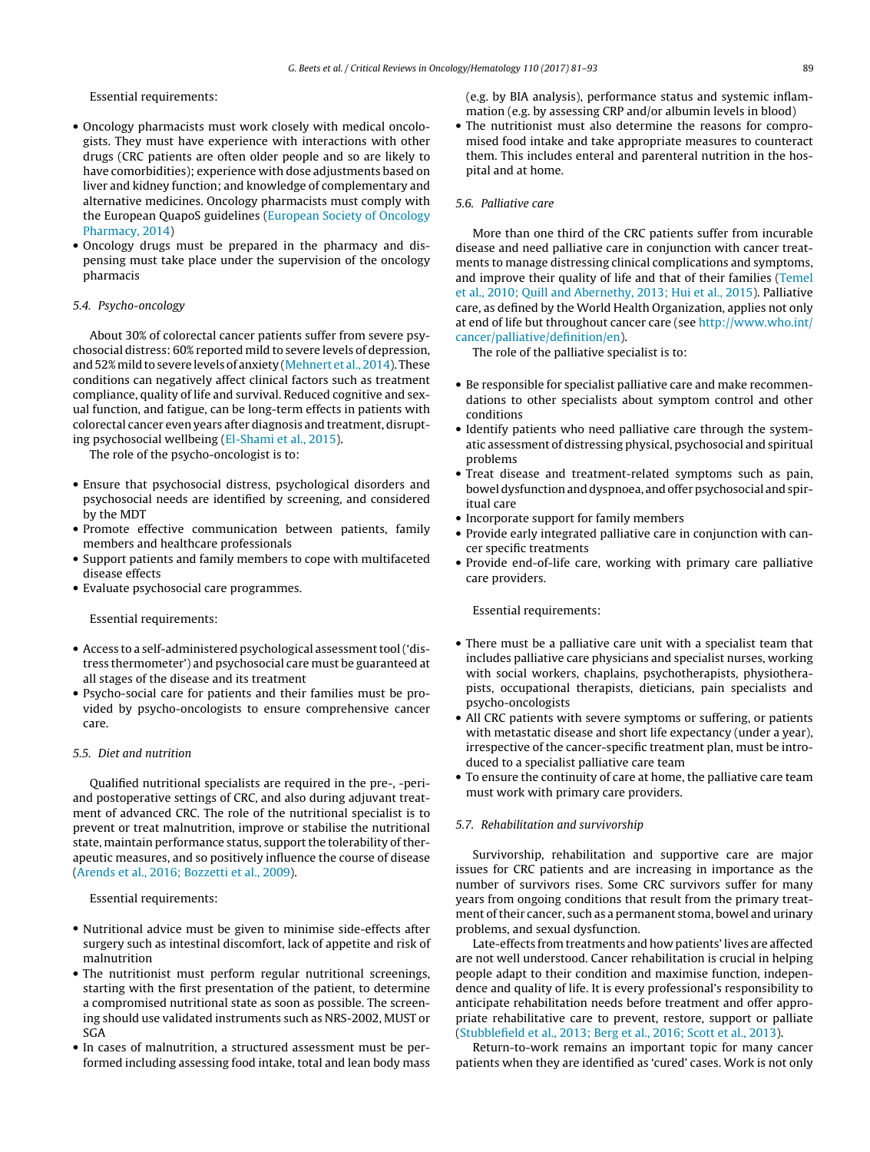Essential requirements:

- Oncology pharmacists must work closely with medical oncologists. They must have experience with interactions with other drugs (CRC patients are often older people and so are likely to have comorbidities); experience with dose adjustments based on liver and kidney function; and knowledge of complementary and alternative medicines. Oncology pharmacists must comply with the European QuapoS guidelines ([European](#page-11-0) [Society](#page-11-0) [of](#page-11-0) [Oncology](#page-11-0) [Pharmacy,](#page-11-0) [2014\)](#page-11-0)
- Oncology drugs must be prepared in the pharmacy and dispensing must take place under the supervision of the oncology pharmacis

## 5.4. Psycho-oncology

About 30% of colorectal cancer patients suffer from severe psychosocial distress: 60% reported mild to severe levels of depression, and 52% mild to severe levels of anxiety [\(Mehnert](#page-11-0) et al., 2014). These conditions can negatively affect clinical factors such as treatment compliance, quality of life and survival. Reduced cognitive and sexual function, and fatigue, can be long-term effects in patients with colorectal cancer even years after diagnosis and treatment, disrupting psychosocial wellbeing [\(El-Shami](#page-11-0) et [al.,](#page-11-0) [2015\).](#page-11-0)

The role of the psycho-oncologist is to:

- Ensure that psychosocial distress, psychological disorders and psychosocial needs are identified by screening, and considered by the MDT
- Promote effective communication between patients, family members and healthcare professionals
- Support patients and family members to cope with multifaceted disease effects
- Evaluate psychosocial care programmes.

Essential requirements:

- Access to a self-administered psychological assessment tool ('distress thermometer') and psychosocial care must be guaranteed at all stages of the disease and its treatment
- Psycho-social care for patients and their families must be provided by psycho-oncologists to ensure comprehensive cancer care.

## 5.5. Diet and nutrition

Qualified nutritional specialists are required in the pre-, -periand postoperative settings of CRC, and also during adjuvant treatment of advanced CRC. The role of the nutritional specialist is to prevent or treat malnutrition, improve or stabilise the nutritional state, maintain performance status, support the tolerability of therapeutic measures, and so positively influence the course of disease ([Arends](#page-10-0) et [al.,](#page-10-0) [2016;](#page-10-0) [Bozzetti](#page-10-0) et [al.,](#page-10-0) [2009\).](#page-10-0)

Essential requirements:

- Nutritional advice must be given to minimise side-effects after surgery such as intestinal discomfort, lack of appetite and risk of malnutrition
- The nutritionist must perform regular nutritional screenings, starting with the first presentation of the patient, to determine a compromised nutritional state as soon as possible. The screening should use validated instruments such as NRS-2002, MUST or SGA
- In cases of malnutrition, a structured assessment must be performed including assessing food intake, total and lean body mass

(e.g. by BIA analysis), performance status and systemic inflammation (e.g. by assessing CRP and/or albumin levels in blood)

• The nutritionist must also determine the reasons for compromised food intake and take appropriate measures to counteract them. This includes enteral and parenteral nutrition in the hospital and at home.

# 5.6. Palliative care

More than one third of the CRC patients suffer from incurable disease and need palliative care in conjunction with cancer treatments to manage distressing clinical complications and symptoms, and improve their quality of life and that of their families [\(Temel](#page-12-0) et [al.,](#page-12-0) [2010;](#page-12-0) [Quill](#page-12-0) [and](#page-12-0) [Abernethy,](#page-12-0) [2013;](#page-12-0) [Hui](#page-12-0) et [al.,](#page-12-0) [2015\).](#page-12-0) Palliative care, as defined by the World Health Organization, applies not only at end of life but throughout cancer care (see [http://www.who.int/](http://www.who.int/cancer/palliative/definition/en) [cancer/palliative/definition/en](http://www.who.int/cancer/palliative/definition/en)).

The role of the palliative specialist is to:

- Be responsible for specialist palliative care and make recommendations to other specialists about symptom control and other conditions
- Identify patients who need palliative care through the systematic assessment of distressing physical, psychosocial and spiritual problems
- Treat disease and treatment-related symptoms such as pain, bowel dysfunctionand dyspnoea, and offer psychosocial and spiritual care
- Incorporate support for family members
- Provide early integrated palliative care in conjunction with cancer specific treatments
- Provide end-of-life care, working with primary care palliative care providers.

Essential requirements:

- There must be a palliative care unit with a specialist team that includes palliative care physicians and specialist nurses, working with social workers, chaplains, psychotherapists, physiotherapists, occupational therapists, dieticians, pain specialists and psycho-oncologists
- All CRC patients with severe symptoms or suffering, or patients with metastatic disease and short life expectancy (under a year), irrespective of the cancer-specific treatment plan, must be introduced to a specialist palliative care team
- To ensure the continuity of care at home, the palliative care team must work with primary care providers.

#### 5.7. Rehabilitation and survivorship

Survivorship, rehabilitation and supportive care are major issues for CRC patients and are increasing in importance as the number of survivors rises. Some CRC survivors suffer for many years from ongoing conditions that result from the primary treatment of their cancer, such as a permanent stoma, bowel and urinary problems, and sexual dysfunction.

Late-effects from treatments and how patients' lives are affected are not well understood. Cancer rehabilitation is crucial in helping people adapt to their condition and maximise function, independence and quality of life. It is every professional's responsibility to anticipate rehabilitation needs before treatment and offer appropriate rehabilitative care to prevent, restore, support or palliate [\(Stubblefield](#page-12-0) et [al.,](#page-12-0) [2013;](#page-12-0) [Berg](#page-12-0) et [al.,](#page-12-0) [2016;](#page-12-0) [Scott](#page-12-0) et [al.,](#page-12-0) [2013\).](#page-12-0)

Return-to-work remains an important topic for many cancer patients when they are identified as 'cured' cases. Work is not only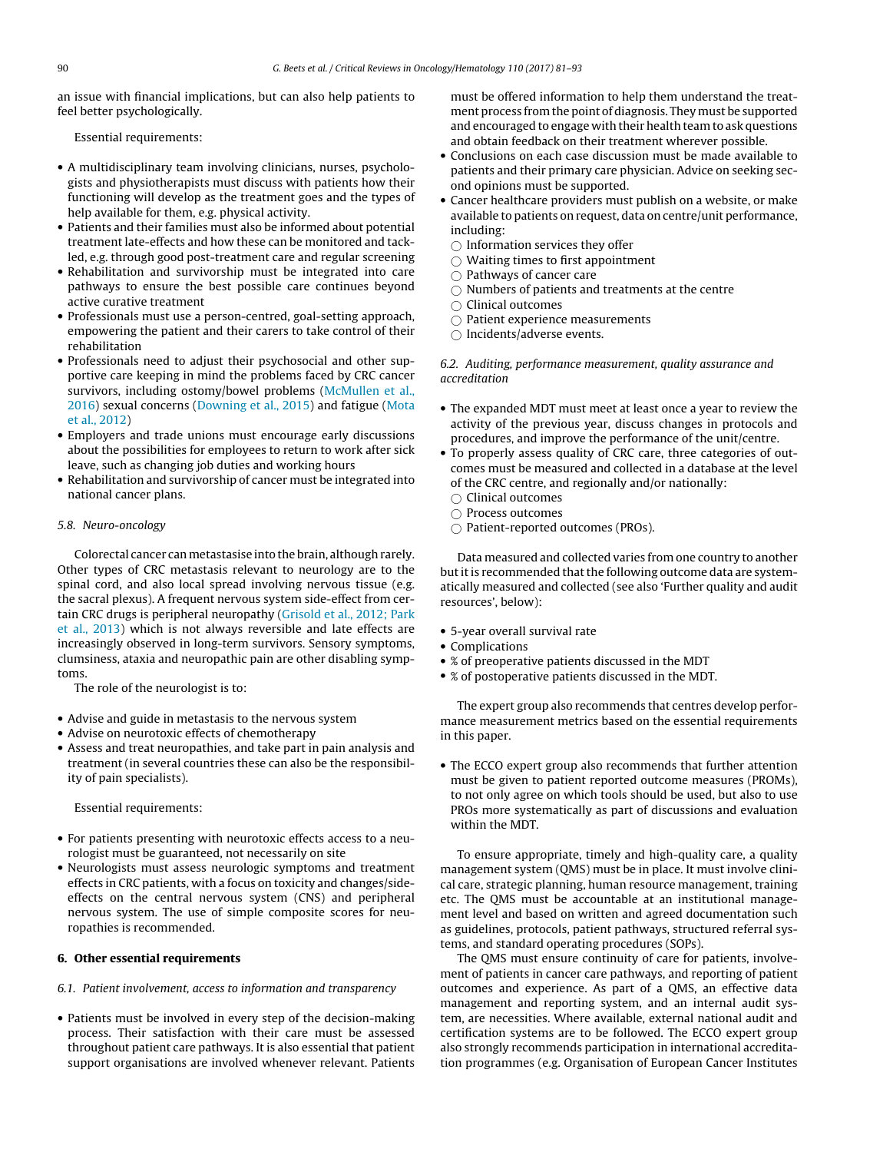an issue with financial implications, but can also help patients to feel better psychologically.

Essential requirements:

- A multidisciplinary team involving clinicians, nurses, psychologists and physiotherapists must discuss with patients how their functioning will develop as the treatment goes and the types of help available for them, e.g. physical activity.
- Patients and their families must also be informed about potential treatment late-effects and how these can be monitored and tackled, e.g. through good post-treatment care and regular screening
- Rehabilitation and survivorship must be integrated into care pathways to ensure the best possible care continues beyond active curative treatment
- Professionals must use a person-centred, goal-setting approach, empowering the patient and their carers to take control of their rehabilitation
- Professionals need to adjust their psychosocial and other supportive care keeping in mind the problems faced by CRC cancer survivors, including ostomy/bowel problems ([McMullen](#page-11-0) et [al.,](#page-11-0) [2016\)](#page-11-0) sexual concerns [\(Downing](#page-11-0) et [al.,](#page-11-0) [2015\)](#page-11-0) and fatigue ([Mota](#page-11-0) et [al.,](#page-11-0) [2012\)](#page-11-0)
- Employers and trade unions must encourage early discussions about the possibilities for employees to return to work after sick leave, such as changing job duties and working hours
- Rehabilitation and survivorship of cancer must be integrated into national cancer plans.

#### 5.8. Neuro-oncology

Colorectal cancer can metastasise into the brain, although rarely. Other types of CRC metastasis relevant to neurology are to the spinal cord, and also local spread involving nervous tissue (e.g. the sacral plexus). A frequent nervous system side-effect from certain CRC drugs is peripheral neuropathy ([Grisold](#page-11-0) et [al.,](#page-11-0) [2012;](#page-11-0) [Park](#page-11-0) et [al.,](#page-11-0) [2013\)](#page-11-0) which is not always reversible and late effects are increasingly observed in long-term survivors. Sensory symptoms, clumsiness, ataxia and neuropathic pain are other disabling symptoms.

The role of the neurologist is to:

- Advise and guide in metastasis to the nervous system
- Advise on neurotoxic effects of chemotherapy
- Assess and treat neuropathies, and take part in pain analysis and treatment (in several countries these can also be the responsibility of pain specialists).

Essential requirements:

- For patients presenting with neurotoxic effects access to a neurologist must be guaranteed, not necessarily on site
- Neurologists must assess neurologic symptoms and treatment effects in CRC patients, with a focus on toxicity and changes/sideeffects on the central nervous system (CNS) and peripheral nervous system. The use of simple composite scores for neuropathies is recommended.

#### **6. Other essential requirements**

#### 6.1. Patient involvement, access to information and transparency

• Patients must be involved in every step of the decision-making process. Their satisfaction with their care must be assessed throughout patient care pathways. It is also essential that patient support organisations are involved whenever relevant. Patients

must be offered information to help them understand the treatment process from the point of diagnosis. They must be supported and encouraged to engage with their health team to ask questions and obtain feedback on their treatment wherever possible.

- Conclusions on each case discussion must be made available to patients and their primary care physician. Advice on seeking second opinions must be supported.
- Cancer healthcare providers must publish on a website, or make available to patients on request, data on centre/unit performance, including:
	- $\bigcirc$  Information services they offer
	- $\bigcirc$  Waiting times to first appointment
	- $\bigcirc$  Pathways of cancer care
	- $\bigcirc$  Numbers of patients and treatments at the centre
	- $\bigcirc$  Clinical outcomes
	- $\bigcirc$  Patient experience measurements
	- $\bigcap$  Incidents/adverse events.

6.2. Auditing, performance measurement, quality assurance and accreditation

- The expanded MDT must meet at least once a year to review the activity of the previous year, discuss changes in protocols and procedures, and improve the performance of the unit/centre.
- To properly assess quality of CRC care, three categories of outcomes must be measured and collected in a database at the level of the CRC centre, and regionally and/or nationally:
	- $\cap$  Clinical outcomes
	- $\bigcap$  Process outcomes
	- Patient-reported outcomes (PROs).

Data measured and collected varies from one country to another but it is recommended that the following outcome data are systematically measured and collected (see also 'Further quality and audit resources', below):

- 5-year overall survival rate
- Complications
- % of preoperative patients discussed in the MDT
- % of postoperative patients discussed in the MDT.

The expert group also recommends that centres develop performance measurement metrics based on the essential requirements in this paper.

• The ECCO expert group also recommends that further attention must be given to patient reported outcome measures (PROMs), to not only agree on which tools should be used, but also to use PROs more systematically as part of discussions and evaluation within the MDT.

To ensure appropriate, timely and high-quality care, a quality management system (QMS) must be in place. It must involve clinical care, strategic planning, human resource management, training etc. The QMS must be accountable at an institutional management level and based on written and agreed documentation such as guidelines, protocols, patient pathways, structured referral systems, and standard operating procedures (SOPs).

The QMS must ensure continuity of care for patients, involvement of patients in cancer care pathways, and reporting of patient outcomes and experience. As part of a QMS, an effective data management and reporting system, and an internal audit system, are necessities. Where available, external national audit and certification systems are to be followed. The ECCO expert group also strongly recommends participation in international accreditation programmes (e.g. Organisation of European Cancer Institutes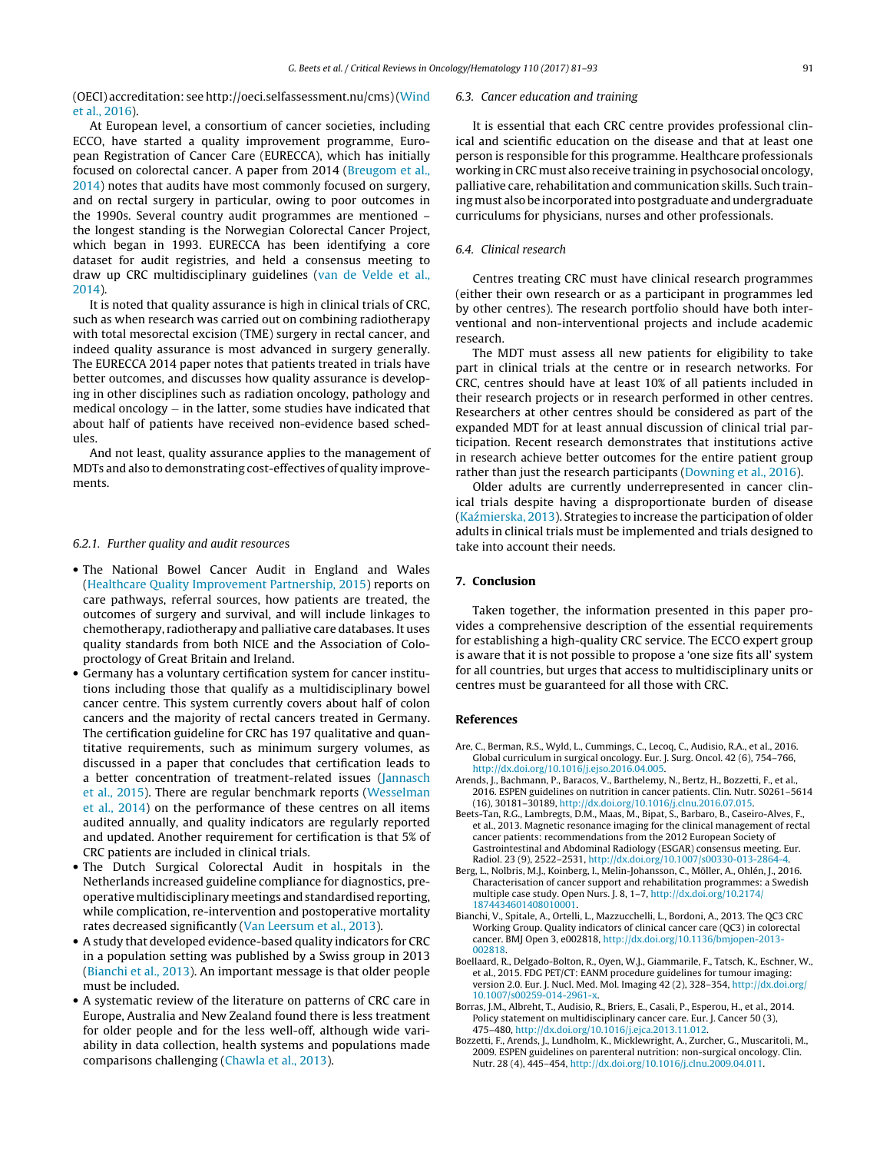<span id="page-10-0"></span>(OECI) accreditation: see http://oeci.selfassessment.nu/cms)[\(Wind](#page-12-0) et [al.,](#page-12-0) [2016\).](#page-12-0)

At European level, a consortium of cancer societies, including ECCO, have started a quality improvement programme, European Registration of Cancer Care (EURECCA), which has initially focused on colorectal cancer. A paper from 2014 [\(Breugom](#page-11-0) et [al.,](#page-11-0) [2014\)](#page-11-0) notes that audits have most commonly focused on surgery, and on rectal surgery in particular, owing to poor outcomes in the 1990s. Several country audit programmes are mentioned – the longest standing is the Norwegian Colorectal Cancer Project, which began in 1993. EURECCA has been identifying a core dataset for audit registries, and held a consensus meeting to draw up CRC multidisciplinary guidelines [\(van](#page-12-0) [de](#page-12-0) [Velde](#page-12-0) et [al.,](#page-12-0) [2014\).](#page-12-0)

It is noted that quality assurance is high in clinical trials of CRC, such as when research was carried out on combining radiotherapy with total mesorectal excision (TME) surgery in rectal cancer, and indeed quality assurance is most advanced in surgery generally. The EURECCA 2014 paper notes that patients treated in trials have better outcomes, and discusses how quality assurance is developing in other disciplines such as radiation oncology, pathology and medical oncology – in the latter, some studies have indicated that about half of patients have received non-evidence based schedules.

And not least, quality assurance applies to the management of MDTs and also to demonstrating cost-effectives of quality improvements.

#### 6.2.1. Further quality and audit resources

- The National Bowel Cancer Audit in England and Wales [\(Healthcare](#page-11-0) [Quality](#page-11-0) [Improvement](#page-11-0) [Partnership,](#page-11-0) [2015\)](#page-11-0) reports on care pathways, referral sources, how patients are treated, the outcomes of surgery and survival, and will include linkages to chemotherapy, radiotherapy and palliative care databases. It uses quality standards from both NICE and the Association of Coloproctology of Great Britain and Ireland.
- Germany has a voluntary certification system for cancer institutions including those that qualify as a multidisciplinary bowel cancer centre. This system currently covers about half of colon cancers and the majority of rectal cancers treated in Germany. The certification guideline for CRC has 197 qualitative and quantitative requirements, such as minimum surgery volumes, as discussed in a paper that concludes that certification leads to a better concentration of treatment-related issues [\(Jannasch](#page-11-0) et [al.,](#page-11-0) [2015\).](#page-11-0) There are regular benchmark reports [\(Wesselman](#page-12-0) et [al.,](#page-12-0) [2014\)](#page-12-0) on the performance of these centres on all items audited annually, and quality indicators are regularly reported and updated. Another requirement for certification is that 5% of CRC patients are included in clinical trials.
- The Dutch Surgical Colorectal Audit in hospitals in the Netherlands increased guideline compliance for diagnostics, preoperative multidisciplinary meetings and standardised reporting, while complication, re-intervention and postoperative mortality rates decreased significantly [\(Van](#page-12-0) [Leersum](#page-12-0) et [al.,](#page-12-0) [2013\).](#page-12-0)
- A study that developed evidence-based quality indicators for CRC in a population setting was published by a Swiss group in 2013 (Bianchi et al., 2013). An important message is that older people must be included.
- A systematic review of the literature on patterns of CRC care in Europe, Australia and New Zealand found there is less treatment for older people and for the less well-off, although wide variability in data collection, health systems and populations made comparisons challenging ([Chawla](#page-11-0) et [al.,](#page-11-0) [2013\).](#page-11-0)

#### 6.3. Cancer education and training

It is essential that each CRC centre provides professional clinical and scientific education on the disease and that at least one person is responsible for this programme. Healthcare professionals working in CRC must also receive training in psychosocial oncology, palliative care, rehabilitation and communication skills. Such training must also be incorporated into postgraduate and undergraduate curriculums for physicians, nurses and other professionals.

# 6.4. Clinical research

Centres treating CRC must have clinical research programmes (either their own research or as a participant in programmes led by other centres). The research portfolio should have both interventional and non-interventional projects and include academic research.

The MDT must assess all new patients for eligibility to take part in clinical trials at the centre or in research networks. For CRC, centres should have at least 10% of all patients included in their research projects or in research performed in other centres. Researchers at other centres should be considered as part of the expanded MDT for at least annual discussion of clinical trial participation. Recent research demonstrates that institutions active in research achieve better outcomes for the entire patient group rather than just the research participants ([Downing](#page-11-0) et [al.,](#page-11-0) [2016\).](#page-11-0)

Older adults are currently underrepresented in cancer clinical trials despite having a disproportionate burden of disease (Kaźmierska, [2013\).](#page-11-0) Strategies to increase the participation of older adults in clinical trials must be implemented and trials designed to take into account their needs.

# **7. Conclusion**

Taken together, the information presented in this paper provides a comprehensive description of the essential requirements for establishing a high-quality CRC service. The ECCO expert group is aware that it is not possible to propose a 'one size fits all' system for all countries, but urges that access to multidisciplinary units or centres must be guaranteed for all those with CRC.

#### **References**

- Are, C., Berman, R.S., Wyld, L., Cummings, C., Lecoq, C., Audisio, R.A., et al., 2016. Global curriculum in surgical oncology. Eur. J. Surg. Oncol. 42 (6), 754–766, [http://dx.doi.org/10.1016/j.ejso.2016.04.005.](dx.doi.org/10.1016/j.ejso.2016.04.005)
- Arends, J., Bachmann, P., Baracos, V., Barthelemy, N., Bertz, H., Bozzetti, F., et al., 2016. ESPEN guidelines on nutrition in cancer patients. Clin. Nutr. S0261–5614 (16), 30181–30189, [http://dx.doi.org/10.1016/j.clnu.2016.07.015.](dx.doi.org/10.1016/j.clnu.2016.07.015)
- Beets-Tan, R.G., Lambregts, D.M., Maas, M., Bipat, S., Barbaro, B., Caseiro-Alves, F., et al., 2013. Magnetic resonance imaging for the clinical management of rectal cancer patients: recommendations from the 2012 European Society of Gastrointestinal and Abdominal Radiology (ESGAR) consensus meeting. Eur. Radiol. 23 (9), 2522–2531, [http://dx.doi.org/10.1007/s00330-013-2864-4](dx.doi.org/10.1007/s00330-013-2864-4).
- Berg, L., Nolbris, M.J., Koinberg, I., Melin-Johansson, C., Möller, A., Ohlén, J., 2016. Characterisation of cancer support and rehabilitation programmes: a Swedish multiple case study. Open Nurs. J. 8, 1–7, [http://dx.doi.org/10.2174/](dx.doi.org/10.2174/1874434601408010001) [1874434601408010001](dx.doi.org/10.2174/1874434601408010001).
- Bianchi, V., Spitale, A., Ortelli, L., Mazzucchelli, L., Bordoni, A., 2013. The QC3 CRC Working Group. Quality indicators of clinical cancer care (QC3) in colorectal cancer. BMJ Open 3, e002818, [http://dx.doi.org/10.1136/bmjopen-2013-](dx.doi.org/10.1136/bmjopen-2013-002818) [002818](dx.doi.org/10.1136/bmjopen-2013-002818).
- Boellaard, R., Delgado-Bolton, R., Oyen, W.J., Giammarile, F., Tatsch, K., Eschner, W., et al., 2015. FDG PET/CT: EANM procedure guidelines for tumour imaging: version 2.0. Eur. J. Nucl. Med. Mol. Imaging 42 (2), 328–354, [http://dx.doi.org/](dx.doi.org/10.1007/s00259-014-2961-x) [10.1007/s00259-014-2961-x.](dx.doi.org/10.1007/s00259-014-2961-x)
- Borras, J.M., Albreht, T., Audisio, R., Briers, E., Casali, P., Esperou, H., et al., 2014. Policy statement on multidisciplinary cancer care. Eur. J. Cancer 50 (3), 475–480, [http://dx.doi.org/10.1016/j.ejca.2013.11.012.](dx.doi.org/10.1016/j.ejca.2013.11.012)
- Bozzetti, F., Arends, J., Lundholm, K., Micklewright, A., Zurcher, G., Muscaritoli, M., 2009. ESPEN guidelines on parenteral nutrition: non-surgical oncology. Clin. Nutr. 28 (4), 445–454, [http://dx.doi.org/10.1016/j.clnu.2009.04.011](dx.doi.org/10.1016/j.clnu.2009.04.011).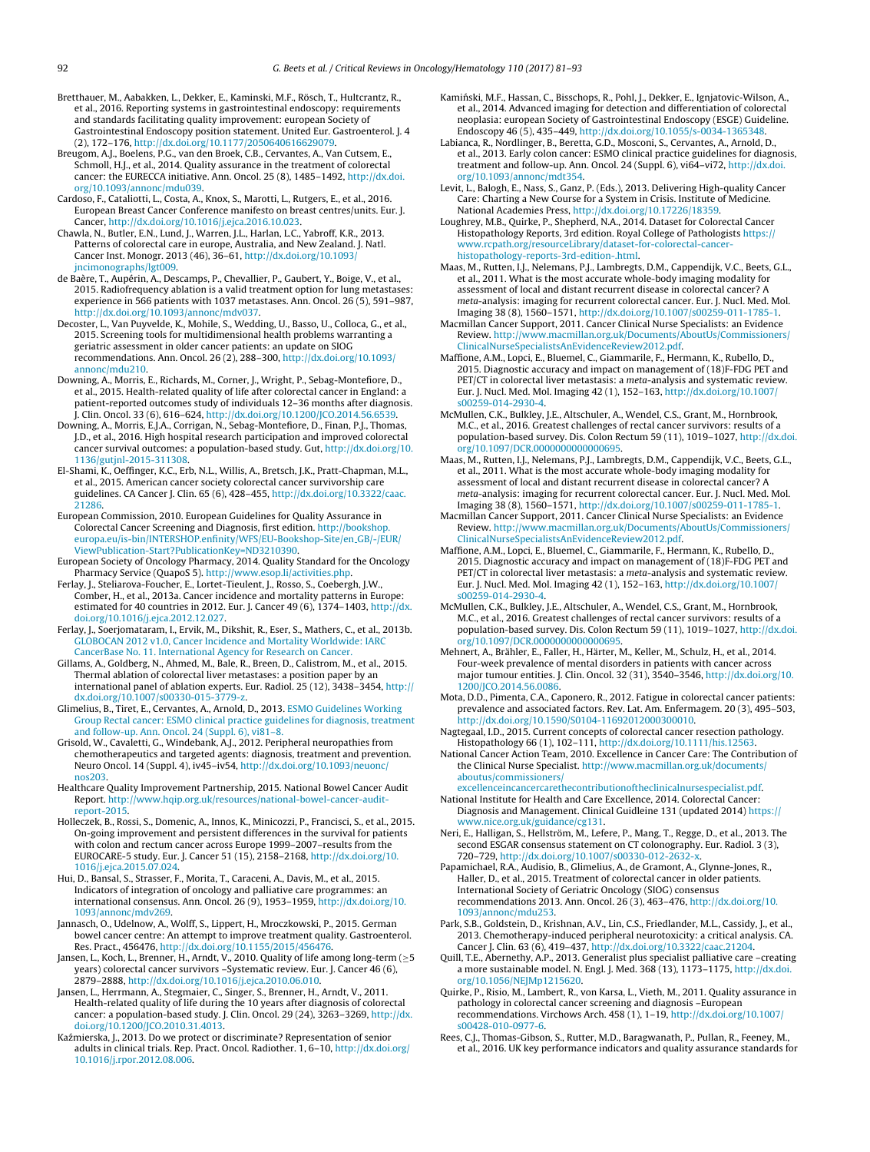- <span id="page-11-0"></span>Bretthauer, M., Aabakken, L., Dekker, E., Kaminski, M.F., Rösch, T., Hultcrantz, R., et al., 2016. Reporting systems in gastrointestinal endoscopy: requirements and standards facilitating quality improvement: european Society of Gastrointestinal Endoscopy position statement. United Eur. Gastroenterol. J. 4 (2), 172–176, [http://dx.doi.org/10.1177/2050640616629079.](dx.doi.org/10.1177/2050640616629079)
- Breugom, A.J., Boelens, P.G., van den Broek, C.B., Cervantes, A., Van Cutsem, E., Schmoll, H.J., et al., 2014. Quality assurance in the treatment of colorectal cancer: the EURECCA initiative. Ann. Oncol. 25 (8), 1485–1492, [http://dx.doi.](dx.doi.org/10.1093/annonc/mdu039) [org/10.1093/annonc/mdu039.](dx.doi.org/10.1093/annonc/mdu039)
- Cardoso, F., Cataliotti, L., Costa, A., Knox, S., Marotti, L., Rutgers, E., et al., 2016. European Breast Cancer Conference manifesto on breast centres/units. Eur. J. Cancer, [http://dx.doi.org/10.1016/j.ejca.2016.10.023](dx.doi.org/10.1016/j.ejca.2016.10.023).
- Chawla, N., Butler, E.N., Lund, J., Warren, J.L., Harlan, L.C., Yabroff, K.R., 2013. Patterns of colorectal care in europe, Australia, and New Zealand. J. Natl. Cancer Inst. Monogr. 2013 (46), 36–61, [http://dx.doi.org/10.1093/](dx.doi.org/10.1093/jncimonographs/lgt009) [jncimonographs/lgt009](dx.doi.org/10.1093/jncimonographs/lgt009).
- de Baère, T., Aupérin, A., Descamps, P., Chevallier, P., Gaubert, Y., Boige, V., et al., 2015. Radiofrequency ablation is a valid treatment option for lung metastases: experience in 566 patients with 1037 metastases. Ann. Oncol. 26 (5), 591–987, [http://dx.doi.org/10.1093/annonc/mdv037](dx.doi.org/10.1093/annonc/mdv037).
- Decoster, L., Van Puyvelde, K., Mohile, S., Wedding, U., Basso, U., Colloca, G., et al., 2015. Screening tools for multidimensional health problems warranting a geriatric assessment in older cancer patients: an update on SIOG recommendations. Ann. Oncol. 26 (2), 288–300, [http://dx.doi.org/10.1093/](dx.doi.org/10.1093/annonc/mdu210) [annonc/mdu210](dx.doi.org/10.1093/annonc/mdu210).
- Downing, A., Morris, E., Richards, M., Corner, J., Wright, P., Sebag-Montefiore, D., et al., 2015. Health-related quality of life after colorectal cancer in England: a patient-reported outcomes study of individuals 12–36 months after diagnosis. J. Clin. Oncol. 33 (6), 616–624, [http://dx.doi.org/10.1200/JCO.2014.56.6539](dx.doi.org/10.1200/JCO.2014.56.6539).
- Downing, A., Morris, E.J.A., Corrigan, N., Sebag-Montefiore, D., Finan, P.J., Thomas, J.D., et al., 2016. High hospital research participation and improved colorectal cancer survival outcomes: a population-based study. Gut, [http://dx.doi.org/10.](dx.doi.org/10.1136/gutjnl-2015-311308) [1136/gutjnl-2015-311308](dx.doi.org/10.1136/gutjnl-2015-311308).
- El-Shami, K., Oeffinger, K.C., Erb, N.L., Willis, A., Bretsch, J.K., Pratt-Chapman, M.L., et al., 2015. American cancer society colorectal cancer survivorship care guidelines. CA Cancer J. Clin. 65 (6), 428–455, [http://dx.doi.org/10.3322/caac.](dx.doi.org/10.3322/caac.21286) [21286](dx.doi.org/10.3322/caac.21286)
- European Commission, 2010. European Guidelines for Quality Assurance in Colorectal Cancer Screening and Diagnosis, first edition. [http://bookshop.](http://bookshop.europa.eu/is-bin/INTERSHOP.enfinity/WFS/EU-Bookshop-Site/en_GB/-/EUR/ViewPublication-Start?PublicationKey=ND3210390) [europa.eu/is-bin/INTERSHOP.enfinity/WFS/EU-Bookshop-Site/en](http://bookshop.europa.eu/is-bin/INTERSHOP.enfinity/WFS/EU-Bookshop-Site/en_GB/-/EUR/ViewPublication-Start?PublicationKey=ND3210390) [GB/-/EUR/](http://bookshop.europa.eu/is-bin/INTERSHOP.enfinity/WFS/EU-Bookshop-Site/en_GB/-/EUR/ViewPublication-Start?PublicationKey=ND3210390) [ViewPublication-Start?PublicationKey=ND3210390.](http://bookshop.europa.eu/is-bin/INTERSHOP.enfinity/WFS/EU-Bookshop-Site/en_GB/-/EUR/ViewPublication-Start?PublicationKey=ND3210390)
- European Society of Oncology Pharmacy, 2014. Quality Standard for the Oncology Pharmacy Service (QuapoS 5). <http://www.esop.li/activities.php>.
- Ferlay, J., Steliarova-Foucher, E., Lortet-Tieulent, J., Rosso, S., Coebergh, J.W., Comber, H., et al., 2013a. Cancer incidence and mortality patterns in Europe: estimated for 40 countries in 2012. Eur. J. Cancer 49 (6), 1374–1403, [http://dx.](dx.doi.org/10.1016/j.ejca.2012.12.027) [doi.org/10.1016/j.ejca.2012.12.027](dx.doi.org/10.1016/j.ejca.2012.12.027).
- Ferlay, J., Soerjomataram, I., Ervik, M., Dikshit, R., Eser, S., Mathers, C., et al., 2013b. [GLOBOCAN](http://refhub.elsevier.com/S1040-8428(16)30354-7/sbref0105) [2012](http://refhub.elsevier.com/S1040-8428(16)30354-7/sbref0105) [v1.0,](http://refhub.elsevier.com/S1040-8428(16)30354-7/sbref0105) [Cancer](http://refhub.elsevier.com/S1040-8428(16)30354-7/sbref0105) [Incidence](http://refhub.elsevier.com/S1040-8428(16)30354-7/sbref0105) [and](http://refhub.elsevier.com/S1040-8428(16)30354-7/sbref0105) [Mortality](http://refhub.elsevier.com/S1040-8428(16)30354-7/sbref0105) [Worldwide:](http://refhub.elsevier.com/S1040-8428(16)30354-7/sbref0105) [IARC](http://refhub.elsevier.com/S1040-8428(16)30354-7/sbref0105) [CancerBase](http://refhub.elsevier.com/S1040-8428(16)30354-7/sbref0105) [No.](http://refhub.elsevier.com/S1040-8428(16)30354-7/sbref0105) [11.](http://refhub.elsevier.com/S1040-8428(16)30354-7/sbref0105) [International](http://refhub.elsevier.com/S1040-8428(16)30354-7/sbref0105) [Agency](http://refhub.elsevier.com/S1040-8428(16)30354-7/sbref0105) [for](http://refhub.elsevier.com/S1040-8428(16)30354-7/sbref0105) [Research](http://refhub.elsevier.com/S1040-8428(16)30354-7/sbref0105) [on](http://refhub.elsevier.com/S1040-8428(16)30354-7/sbref0105) [Cancer.](http://refhub.elsevier.com/S1040-8428(16)30354-7/sbref0105)
- Gillams, A., Goldberg, N., Ahmed, M., Bale, R., Breen, D., Calistrom, M., et al., 2015. Thermal ablation of colorectal liver metastases: a position paper by an international panel of ablation experts. Eur. Radiol. 25 (12), 3438–3454, [http://](dx.doi.org/10.1007/s00330-015-3779-z) <dx.doi.org/10.1007/s00330-015-3779-z>.
- Glimelius, B., Tiret, E., Cervantes, A., Arnold, D., 2013. [ESMO](http://refhub.elsevier.com/S1040-8428(16)30354-7/sbref0115) [Guidelines](http://refhub.elsevier.com/S1040-8428(16)30354-7/sbref0115) [Working](http://refhub.elsevier.com/S1040-8428(16)30354-7/sbref0115) [Group](http://refhub.elsevier.com/S1040-8428(16)30354-7/sbref0115) [Rectal](http://refhub.elsevier.com/S1040-8428(16)30354-7/sbref0115) [cancer:](http://refhub.elsevier.com/S1040-8428(16)30354-7/sbref0115) [ESMO](http://refhub.elsevier.com/S1040-8428(16)30354-7/sbref0115) [clinical](http://refhub.elsevier.com/S1040-8428(16)30354-7/sbref0115) [practice](http://refhub.elsevier.com/S1040-8428(16)30354-7/sbref0115) [guidelines](http://refhub.elsevier.com/S1040-8428(16)30354-7/sbref0115) [for](http://refhub.elsevier.com/S1040-8428(16)30354-7/sbref0115) [diagnosis,](http://refhub.elsevier.com/S1040-8428(16)30354-7/sbref0115) [treatment](http://refhub.elsevier.com/S1040-8428(16)30354-7/sbref0115) [and](http://refhub.elsevier.com/S1040-8428(16)30354-7/sbref0115) [follow-up.](http://refhub.elsevier.com/S1040-8428(16)30354-7/sbref0115) [Ann.](http://refhub.elsevier.com/S1040-8428(16)30354-7/sbref0115) [Oncol.](http://refhub.elsevier.com/S1040-8428(16)30354-7/sbref0115) [24](http://refhub.elsevier.com/S1040-8428(16)30354-7/sbref0115) [\(Suppl.](http://refhub.elsevier.com/S1040-8428(16)30354-7/sbref0115) [6\),](http://refhub.elsevier.com/S1040-8428(16)30354-7/sbref0115) [vi81–8.](http://refhub.elsevier.com/S1040-8428(16)30354-7/sbref0115)
- Grisold, W., Cavaletti, G., Windebank, A.J., 2012. Peripheral neuropathies from chemotherapeutics and targeted agents: diagnosis, treatment and prevention. Neuro Oncol. 14 (Suppl. 4), iv45–iv54, [http://dx.doi.org/10.1093/neuonc/](dx.doi.org/10.1093/neuonc/nos203) [nos203](dx.doi.org/10.1093/neuonc/nos203).
- Healthcare Quality Improvement Partnership, 2015. National Bowel Cancer Audit Report. [http://www.hqip.org.uk/resources/national-bowel-cancer-audit](http://www.hqip.org.uk/resources/national-bowel-cancer-audit-report-2015)[report-2015](http://www.hqip.org.uk/resources/national-bowel-cancer-audit-report-2015).
- Holleczek, B., Rossi, S., Domenic, A., Innos, K., Minicozzi, P., Francisci, S., et al., 2015. On-going improvement and persistent differences in the survival for patients with colon and rectum cancer across Europe 1999–2007–results from the EUROCARE-5 study. Eur. J. Cancer 51 (15), 2158–2168, [http://dx.doi.org/10.](dx.doi.org/10.1016/j.ejca.2015.07.024) [1016/j.ejca.2015.07.024](dx.doi.org/10.1016/j.ejca.2015.07.024).
- Hui, D., Bansal, S., Strasser, F., Morita, T., Caraceni, A., Davis, M., et al., 2015. Indicators of integration of oncology and palliative care programmes: an international consensus. Ann. Oncol. 26 (9), 1953–1959, [http://dx.doi.org/10.](dx.doi.org/10.1093/annonc/mdv269) [1093/annonc/mdv269.](dx.doi.org/10.1093/annonc/mdv269)
- Jannasch, O., Udelnow, A., Wolff, S., Lippert, H., Mroczkowski, P., 2015. German bowel cancer centre: An attempt to improve treatment quality. Gastroenterol. Res. Pract., 456476, [http://dx.doi.org/10.1155/2015/456476.](dx.doi.org/10.1155/2015/456476)
- Jansen, L., Koch, L., Brenner, H., Arndt, V., 2010. Quality of life among long-term (≥5 years) colorectal cancer survivors –Systematic review. Eur. J. Cancer 46 (6), 2879–2888, [http://dx.doi.org/10.1016/j.ejca.2010.06.010](dx.doi.org/10.1016/j.ejca.2010.06.010).
- Jansen, L., Herrmann, A., Stegmaier, C., Singer, S., Brenner, H., Arndt, V., 2011. Health-related quality of life during the 10 years after diagnosis of colorectal cancer: a population-based study. J. Clin. Oncol. 29 (24), 3263–3269, [http://dx.](dx.doi.org/10.1200/JCO.2010.31.4013) [doi.org/10.1200/JCO.2010.31.4013](dx.doi.org/10.1200/JCO.2010.31.4013).
- Kaźmierska, J., 2013. Do we protect or discriminate? Representation of senior adults in clinical trials. Rep. Pract. Oncol. Radiother. 1, 6–10, [http://dx.doi.org/](dx.doi.org/10.1016/j.rpor.2012.08.006) [10.1016/j.rpor.2012.08.006.](dx.doi.org/10.1016/j.rpor.2012.08.006)
- Kamiński, M.F., Hassan, C., Bisschops, R., Pohl, J., Dekker, E., Ignjatovic-Wilson, A., et al., 2014. Advanced imaging for detection and differentiation of colorectal neoplasia: european Society of Gastrointestinal Endoscopy (ESGE) Guideline. Endoscopy 46 (5), 435–449, [http://dx.doi.org/10.1055/s-0034-1365348.](dx.doi.org/10.1055/s-0034-1365348)
- Labianca, R., Nordlinger, B., Beretta, G.D., Mosconi, S., Cervantes, A., Arnold, D., et al., 2013. Early colon cancer: ESMO clinical practice guidelines for diagnosis, treatment and follow-up. Ann. Oncol. 24 (Suppl. 6), vi64–vi72, [http://dx.doi.](dx.doi.org/10.1093/annonc/mdt354) [org/10.1093/annonc/mdt354.](dx.doi.org/10.1093/annonc/mdt354)
- Levit, L., Balogh, E., Nass, S., Ganz, P. (Eds.), 2013. Delivering High-quality Cancer Care: Charting a New Course for a System in Crisis. Institute of Medicine. National Academies Press, [http://dx.doi.org/10.17226/18359](dx.doi.org/10.17226/18359).
- Loughrey, M.B., Quirke, P., Shepherd, N.A., 2014. Dataset for Colorectal Cancer Histopathology Reports, 3rd edition. Royal College of Pathologists [https://](https://www.rcpath.org/resourceLibrary/dataset-for-colorectal-cancer-histopathology-reports-3rd-edition-.html) [www.rcpath.org/resourceLibrary/dataset-for-colorectal-cancer](https://www.rcpath.org/resourceLibrary/dataset-for-colorectal-cancer-histopathology-reports-3rd-edition-.html)[histopathology-reports-3rd-edition-.html.](https://www.rcpath.org/resourceLibrary/dataset-for-colorectal-cancer-histopathology-reports-3rd-edition-.html)
- Maas, M., Rutten, I.J., Nelemans, P.J., Lambregts, D.M., Cappendijk, V.C., Beets, G.L., et al., 2011. What is the most accurate whole-body imaging modality for assessment of local and distant recurrent disease in colorectal cancer? A meta-analysis: imaging for recurrent colorectal cancer. Eur. J. Nucl. Med. Mol. Imaging 38 (8), 1560–1571, [http://dx.doi.org/10.1007/s00259-011-1785-1.](dx.doi.org/10.1007/s00259-011-1785-1)
- Macmillan Cancer Support, 2011. Cancer Clinical Nurse Specialists: an Evidence Review. [http://www.macmillan.org.uk/Documents/AboutUs/Commissioners/](http://www.macmillan.org.uk/Documents/AboutUs/Commissioners/ClinicalNurseSpecialistsAnEvidenceReview2012.pdf) [ClinicalNurseSpecialistsAnEvidenceReview2012.pdf](http://www.macmillan.org.uk/Documents/AboutUs/Commissioners/ClinicalNurseSpecialistsAnEvidenceReview2012.pdf).
- Maffione, A.M., Lopci, E., Bluemel, C., Giammarile, F., Hermann, K., Rubello, D., 2015. Diagnostic accuracy and impact on management of (18)F-FDG PET and PET/CT in colorectal liver metastasis: a meta-analysis and systematic review. Eur. J. Nucl. Med. Mol. Imaging 42 (1), 152–163, [http://dx.doi.org/10.1007/](dx.doi.org/10.1007/s00259-014-2930-4) [s00259-014-2930-4](dx.doi.org/10.1007/s00259-014-2930-4).
- McMullen, C.K., Bulkley, J.E., Altschuler, A., Wendel, C.S., Grant, M., Hornbrook, M.C., et al., 2016. Greatest challenges of rectal cancer survivors: results of a population-based survey. Dis. Colon Rectum 59 (11), 1019–1027, [http://dx.doi.](dx.doi.org/10.1097/DCR.0000000000000695) [org/10.1097/DCR.0000000000000695](dx.doi.org/10.1097/DCR.0000000000000695).
- Maas, M., Rutten, I.J., Nelemans, P.J., Lambregts, D.M., Cappendijk, V.C., Beets, G.L., et al., 2011. What is the most accurate whole-body imaging modality for assessment of local and distant recurrent disease in colorectal cancer? A meta-analysis: imaging for recurrent colorectal cancer. Eur. J. Nucl. Med. Mol. Imaging 38 (8), 1560–1571, [http://dx.doi.org/10.1007/s00259-011-1785-1.](dx.doi.org/10.1007/s00259-011-1785-1)
- Macmillan Cancer Support, 2011. Cancer Clinical Nurse Specialists: an Evidence Review. [http://www.macmillan.org.uk/Documents/AboutUs/Commissioners/](http://www.macmillan.org.uk/Documents/AboutUs/Commissioners/ClinicalNurseSpecialistsAnEvidenceReview2012.pdf) [ClinicalNurseSpecialistsAnEvidenceReview2012.pdf](http://www.macmillan.org.uk/Documents/AboutUs/Commissioners/ClinicalNurseSpecialistsAnEvidenceReview2012.pdf).
- Maffione, A.M., Lopci, E., Bluemel, C., Giammarile, F., Hermann, K., Rubello, D., 2015. Diagnostic accuracy and impact on management of (18)F-FDG PET and PET/CT in colorectal liver metastasis: a meta-analysis and systematic review. Eur. J. Nucl. Med. Mol. Imaging 42 (1), 152–163, [http://dx.doi.org/10.1007/](dx.doi.org/10.1007/s00259-014-2930-4) [s00259-014-2930-4](dx.doi.org/10.1007/s00259-014-2930-4).
- McMullen, C.K., Bulkley, J.E., Altschuler, A., Wendel, C.S., Grant, M., Hornbrook, M.C., et al., 2016. Greatest challenges of rectal cancer survivors: results of a population-based survey. Dis. Colon Rectum 59 (11), 1019–1027, [http://dx.doi.](dx.doi.org/10.1097/DCR.0000000000000695) [org/10.1097/DCR.0000000000000695](dx.doi.org/10.1097/DCR.0000000000000695).
- Mehnert, A., Brähler, E., Faller, H., Härter, M., Keller, M., Schulz, H., et al., 2014. Four-week prevalence of mental disorders in patients with cancer across major tumour entities. J. Clin. Oncol. 32 (31), 3540–3546, [http://dx.doi.org/10.](dx.doi.org/10.1200/JCO.2014.56.0086) [1200/JCO.2014.56.0086.](dx.doi.org/10.1200/JCO.2014.56.0086)
- Mota, D.D., Pimenta, C.A., Caponero, R., 2012. Fatigue in colorectal cancer patients: prevalence and associated factors. Rev. Lat. Am. Enfermagem. 20 (3), 495–503, [http://dx.doi.org/10.1590/S0104-11692012000300010.](dx.doi.org/10.1590/S0104-11692012000300010)
- Nagtegaal, I.D., 2015. Current concepts of colorectal cancer resection pathology. Histopathology 66 (1), 102–111, [http://dx.doi.org/10.1111/his.12563.](dx.doi.org/10.1111/his.12563)
- National Cancer Action Team, 2010. Excellence in Cancer Care: The Contribution of the Clinical Nurse Specialist. [http://www.macmillan.org.uk/documents/](http://www.macmillan.org.uk/documents/aboutus/commissioners/excellenceincancercarethecontributionoftheclinicalnursespecialist.pdf) [aboutus/commissioners/](http://www.macmillan.org.uk/documents/aboutus/commissioners/excellenceincancercarethecontributionoftheclinicalnursespecialist.pdf)
- [excellenceincancercarethecontributionoftheclinicalnursespecialist.pdf](http://www.macmillan.org.uk/documents/aboutus/commissioners/excellenceincancercarethecontributionoftheclinicalnursespecialist.pdf). National Institute for Health and Care Excellence, 2014. Colorectal Cancer: Diagnosis and Management. Clinical Guidleine 131 (updated 2014) [https://](https://www.nice.org.uk/guidance/cg131)
- [www.nice.org.uk/guidance/cg131](https://www.nice.org.uk/guidance/cg131). Neri, E., Halligan, S., Hellström, M., Lefere, P., Mang, T., Regge, D., et al., 2013. The second ESGAR consensus statement on CT colonography. Eur. Radiol. 3 (3), 720–729, [http://dx.doi.org/10.1007/s00330-012-2632-x.](dx.doi.org/10.1007/s00330-012-2632-x)
- Papamichael, R.A., Audisio, B., Glimelius, A., de Gramont, A., Glynne-Jones, R., Haller, D., et al., 2015. Treatment of colorectal cancer in older patients. International Society of Geriatric Oncology (SIOG) consensus recommendations 2013. Ann. Oncol. 26 (3), 463–476, [http://dx.doi.org/10.](dx.doi.org/10.1093/annonc/mdu253) [1093/annonc/mdu253](dx.doi.org/10.1093/annonc/mdu253).
- Park, S.B., Goldstein, D., Krishnan, A.V., Lin, C.S., Friedlander, M.L., Cassidy, J., et al., 2013. Chemotherapy-induced peripheral neurotoxicity: a critical analysis. CA. Cancer J. Clin. 63 (6), 419–437, [http://dx.doi.org/10.3322/caac.21204](dx.doi.org/10.3322/caac.21204).
- Quill, T.E., Abernethy, A.P., 2013. Generalist plus specialist palliative care –creating a more sustainable model. N. Engl. J. Med. 368 (13), 1173–1175, [http://dx.doi.](dx.doi.org/10.1056/NEJMp1215620) [org/10.1056/NEJMp1215620](dx.doi.org/10.1056/NEJMp1215620).
- Quirke, P., Risio, M., Lambert, R., von Karsa, L., Vieth, M., 2011. Quality assurance in pathology in colorectal cancer screening and diagnosis –European recommendations. Virchows Arch. 458 (1), 1–19, [http://dx.doi.org/10.1007/](dx.doi.org/10.1007/s00428-010-0977-6) [s00428-010-0977-6](dx.doi.org/10.1007/s00428-010-0977-6).
- Rees, C.J., Thomas-Gibson, S., Rutter, M.D., Baragwanath, P., Pullan, R., Feeney, M., et al., 2016. UK key performance indicators and quality assurance standards for